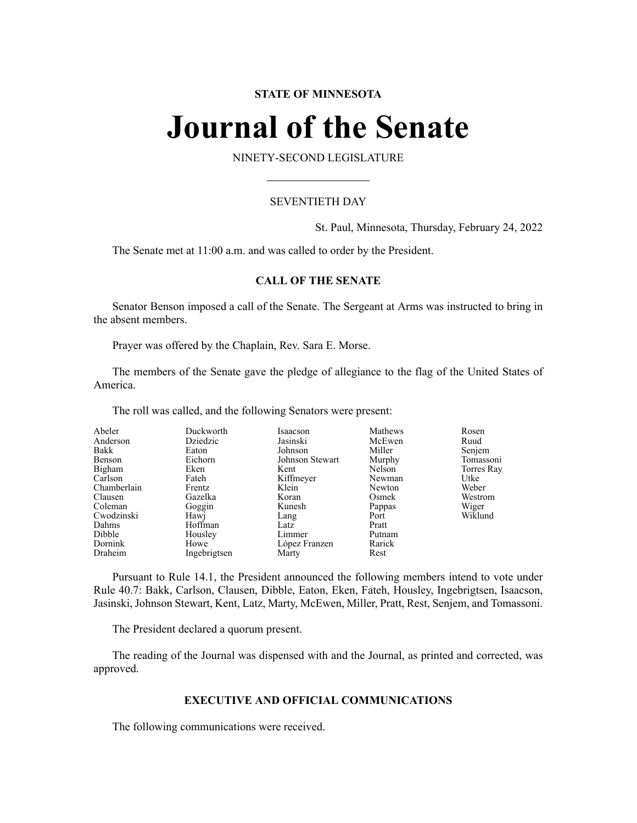# **STATE OF MINNESOTA**

# **Journal of the Senate**

NINETY-SECOND LEGISLATURE

# SEVENTIETH DAY

St. Paul, Minnesota, Thursday, February 24, 2022

The Senate met at 11:00 a.m. and was called to order by the President.

# **CALL OF THE SENATE**

Senator Benson imposed a call of the Senate. The Sergeant at Arms was instructed to bring in the absent members.

Prayer was offered by the Chaplain, Rev. Sara E. Morse.

The members of the Senate gave the pledge of allegiance to the flag of the United States of America.

The roll was called, and the following Senators were present:

| Abeler      | Duckworth    | Isaacson        | Mathews | Rosen      |
|-------------|--------------|-----------------|---------|------------|
| Anderson    | Dziedzic     | Jasinski        | McEwen  | Ruud       |
| Bakk        | Eaton        | Johnson         | Miller  | Senjem     |
| Benson      | Eichorn      | Johnson Stewart | Murphy  | Tomassoni  |
| Bigham      | Eken         | Kent            | Nelson  | Torres Ray |
| Carlson     | Fateh        | Kiffmeyer       | Newman  | Utke       |
| Chamberlain | Frentz       | Klein           | Newton  | Weber      |
| Clausen     | Gazelka      | Koran           | Osmek   | Westrom    |
| Coleman     | Goggin       | Kunesh          | Pappas  | Wiger      |
| Cwodzinski  | Hawj         | Lang            | Port    | Wiklund    |
| Dahms       | Hoffman      | Latz            | Pratt   |            |
| Dibble      | Housley      | Limmer          | Putnam  |            |
| Dornink     | Howe         | López Franzen   | Rarick  |            |
| Draheim     | Ingebrigtsen | Marty           | Rest    |            |

Pursuant to Rule 14.1, the President announced the following members intend to vote under Rule 40.7: Bakk, Carlson, Clausen, Dibble, Eaton, Eken, Fateh, Housley, Ingebrigtsen, Isaacson, Jasinski, Johnson Stewart, Kent, Latz, Marty, McEwen, Miller, Pratt, Rest, Senjem, and Tomassoni.

The President declared a quorum present.

The reading of the Journal was dispensed with and the Journal, as printed and corrected, was approved.

### **EXECUTIVE AND OFFICIAL COMMUNICATIONS**

The following communications were received.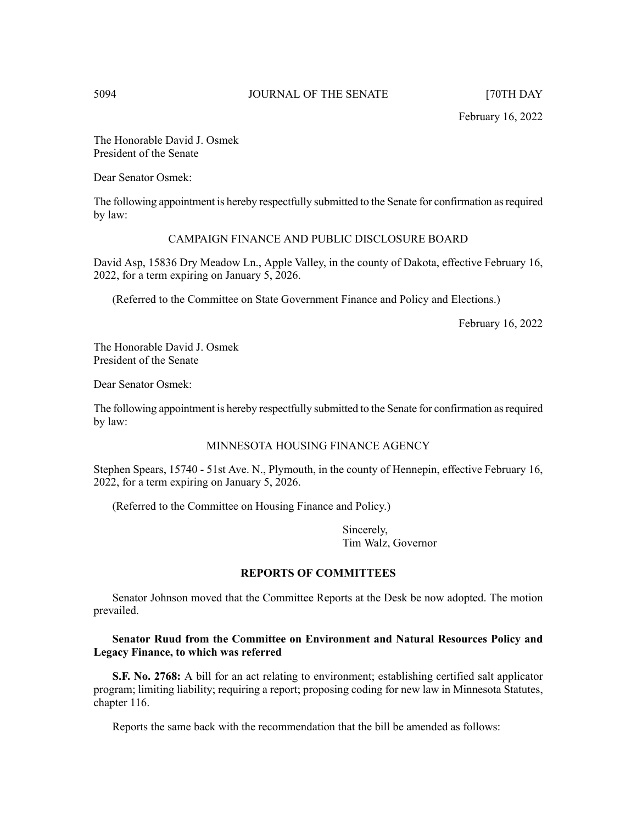February 16, 2022

The Honorable David J. Osmek President of the Senate

Dear Senator Osmek:

The following appointment is hereby respectfully submitted to the Senate for confirmation asrequired by law:

# CAMPAIGN FINANCE AND PUBLIC DISCLOSURE BOARD

David Asp, 15836 Dry Meadow Ln., Apple Valley, in the county of Dakota, effective February 16, 2022, for a term expiring on January 5, 2026.

(Referred to the Committee on State Government Finance and Policy and Elections.)

February 16, 2022

The Honorable David J. Osmek President of the Senate

Dear Senator Osmek:

The following appointment is hereby respectfully submitted to the Senate for confirmation asrequired by law:

# MINNESOTA HOUSING FINANCE AGENCY

Stephen Spears, 15740 - 51st Ave. N., Plymouth, in the county of Hennepin, effective February 16, 2022, for a term expiring on January 5, 2026.

(Referred to the Committee on Housing Finance and Policy.)

Sincerely, Tim Walz, Governor

# **REPORTS OF COMMITTEES**

Senator Johnson moved that the Committee Reports at the Desk be now adopted. The motion prevailed.

# **Senator Ruud from the Committee on Environment and Natural Resources Policy and Legacy Finance, to which was referred**

**S.F. No. 2768:** A bill for an act relating to environment; establishing certified salt applicator program; limiting liability; requiring a report; proposing coding for new law in Minnesota Statutes, chapter 116.

Reports the same back with the recommendation that the bill be amended as follows: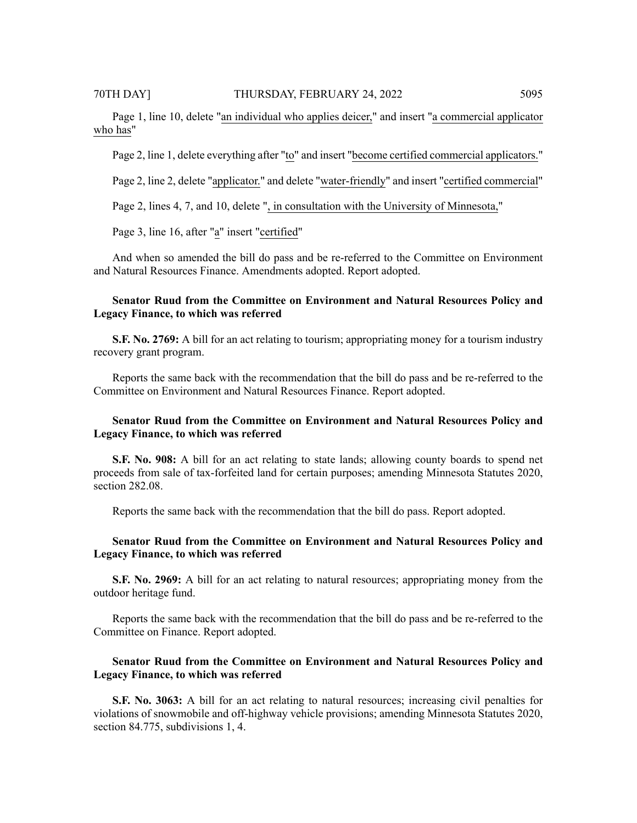Page 1, line 10, delete "an individual who applies deicer," and insert "a commercial applicator who has"

Page 2, line 1, delete everything after "to" and insert "become certified commercial applicators."

Page 2, line 2, delete "applicator." and delete "water-friendly" and insert "certified commercial"

Page 2, lines 4, 7, and 10, delete ", in consultation with the University of Minnesota,"

Page 3, line 16, after "a" insert "certified"

And when so amended the bill do pass and be re-referred to the Committee on Environment and Natural Resources Finance. Amendments adopted. Report adopted.

# **Senator Ruud from the Committee on Environment and Natural Resources Policy and Legacy Finance, to which was referred**

**S.F. No. 2769:** A bill for an act relating to tourism; appropriating money for a tourism industry recovery grant program.

Reports the same back with the recommendation that the bill do pass and be re-referred to the Committee on Environment and Natural Resources Finance. Report adopted.

# **Senator Ruud from the Committee on Environment and Natural Resources Policy and Legacy Finance, to which was referred**

**S.F. No. 908:** A bill for an act relating to state lands; allowing county boards to spend net proceeds from sale of tax-forfeited land for certain purposes; amending Minnesota Statutes 2020, section 282.08.

Reports the same back with the recommendation that the bill do pass. Report adopted.

# **Senator Ruud from the Committee on Environment and Natural Resources Policy and Legacy Finance, to which was referred**

**S.F. No. 2969:** A bill for an act relating to natural resources; appropriating money from the outdoor heritage fund.

Reports the same back with the recommendation that the bill do pass and be re-referred to the Committee on Finance. Report adopted.

# **Senator Ruud from the Committee on Environment and Natural Resources Policy and Legacy Finance, to which was referred**

**S.F. No. 3063:** A bill for an act relating to natural resources; increasing civil penalties for violations of snowmobile and off-highway vehicle provisions; amending Minnesota Statutes 2020, section 84.775, subdivisions 1, 4.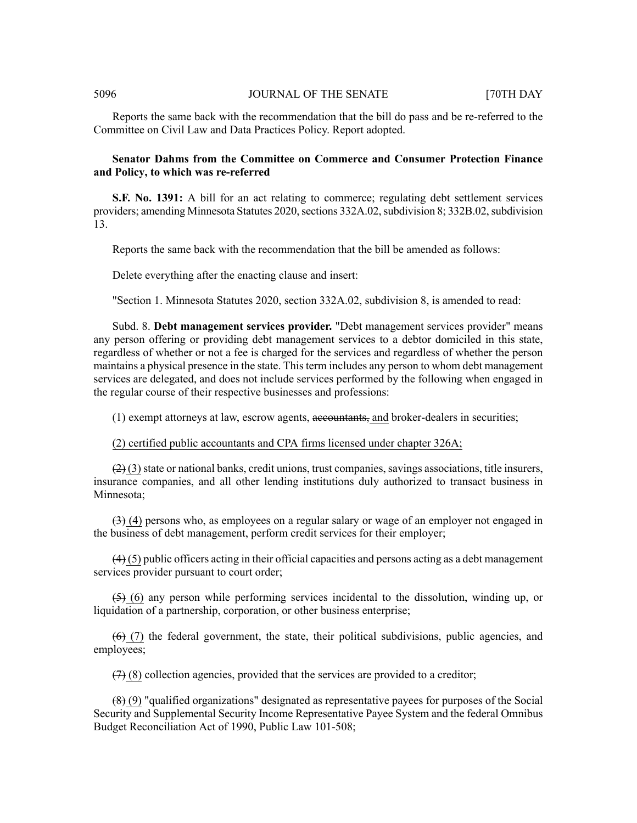Reports the same back with the recommendation that the bill do pass and be re-referred to the Committee on Civil Law and Data Practices Policy. Report adopted.

# **Senator Dahms from the Committee on Commerce and Consumer Protection Finance and Policy, to which was re-referred**

**S.F. No. 1391:** A bill for an act relating to commerce; regulating debt settlement services providers; amending Minnesota Statutes 2020, sections 332A.02, subdivision 8; 332B.02, subdivision 13.

Reports the same back with the recommendation that the bill be amended as follows:

Delete everything after the enacting clause and insert:

"Section 1. Minnesota Statutes 2020, section 332A.02, subdivision 8, is amended to read:

Subd. 8. **Debt management services provider.** "Debt management services provider" means any person offering or providing debt management services to a debtor domiciled in this state, regardless of whether or not a fee is charged for the services and regardless of whether the person maintains a physical presence in the state. This term includes any person to whom debt management services are delegated, and does not include services performed by the following when engaged in the regular course of their respective businesses and professions:

(1) exempt attorneys at law, escrow agents, accountants, and broker-dealers in securities;

### (2) certified public accountants and CPA firms licensed under chapter 326A;

 $(2)$  (3) state or national banks, credit unions, trust companies, savings associations, title insurers, insurance companies, and all other lending institutions duly authorized to transact business in Minnesota;

 $(3)$  (4) persons who, as employees on a regular salary or wage of an employer not engaged in the business of debt management, perform credit services for their employer;

 $(4)$  (5) public officers acting in their official capacities and persons acting as a debt management services provider pursuant to court order;

 $(5)$  (6) any person while performing services incidental to the dissolution, winding up, or liquidation of a partnership, corporation, or other business enterprise;

 $(6)$  (7) the federal government, the state, their political subdivisions, public agencies, and employees;

 $(7)$  (8) collection agencies, provided that the services are provided to a creditor;

(8) (9) "qualified organizations" designated as representative payees for purposes of the Social Security and Supplemental Security Income Representative Payee System and the federal Omnibus Budget Reconciliation Act of 1990, Public Law 101-508;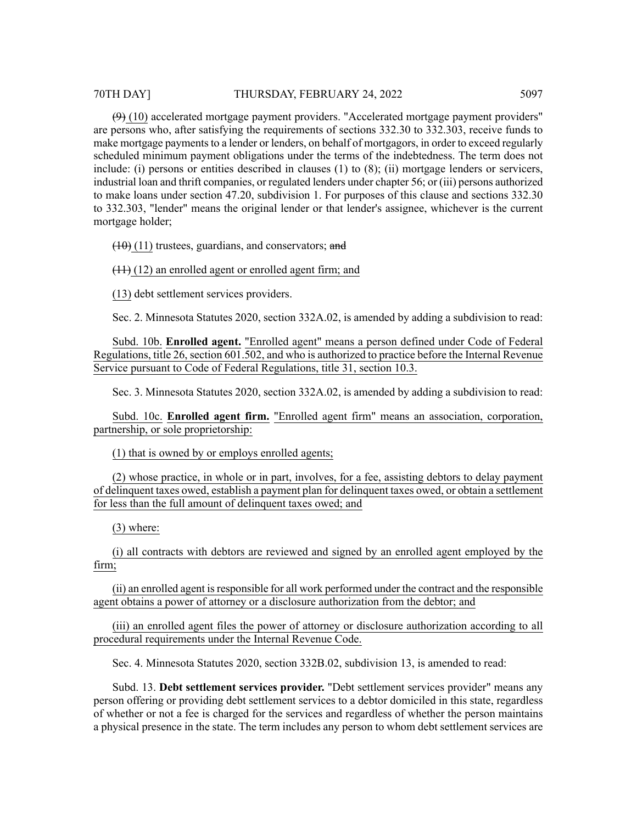## 70TH DAY] THURSDAY, FEBRUARY 24, 2022 5097

 $(9)$  (10) accelerated mortgage payment providers. "Accelerated mortgage payment providers" are persons who, after satisfying the requirements of sections 332.30 to 332.303, receive funds to make mortgage payments to a lender or lenders, on behalf of mortgagors, in order to exceed regularly scheduled minimum payment obligations under the terms of the indebtedness. The term does not include: (i) persons or entities described in clauses (1) to (8); (ii) mortgage lenders or servicers, industrial loan and thrift companies, or regulated lenders under chapter 56; or (iii) persons authorized to make loans under section 47.20, subdivision 1. For purposes of this clause and sections 332.30 to 332.303, "lender" means the original lender or that lender's assignee, whichever is the current mortgage holder;

 $(10)$  (11) trustees, guardians, and conservators; and

 $(11)$  (12) an enrolled agent or enrolled agent firm; and

(13) debt settlement services providers.

Sec. 2. Minnesota Statutes 2020, section 332A.02, is amended by adding a subdivision to read:

Subd. 10b. **Enrolled agent.** "Enrolled agent" means a person defined under Code of Federal Regulations, title 26, section 601.502, and who is authorized to practice before the Internal Revenue Service pursuant to Code of Federal Regulations, title 31, section 10.3.

Sec. 3. Minnesota Statutes 2020, section 332A.02, is amended by adding a subdivision to read:

Subd. 10c. **Enrolled agent firm.** "Enrolled agent firm" means an association, corporation, partnership, or sole proprietorship:

(1) that is owned by or employs enrolled agents;

(2) whose practice, in whole or in part, involves, for a fee, assisting debtors to delay payment of delinquent taxes owed, establish a payment plan for delinquent taxes owed, or obtain a settlement for less than the full amount of delinquent taxes owed; and

(3) where:

(i) all contracts with debtors are reviewed and signed by an enrolled agent employed by the firm;

(ii) an enrolled agent is responsible for all work performed under the contract and the responsible agent obtains a power of attorney or a disclosure authorization from the debtor; and

(iii) an enrolled agent files the power of attorney or disclosure authorization according to all procedural requirements under the Internal Revenue Code.

Sec. 4. Minnesota Statutes 2020, section 332B.02, subdivision 13, is amended to read:

Subd. 13. **Debt settlement services provider.** "Debt settlement services provider" means any person offering or providing debt settlement services to a debtor domiciled in this state, regardless of whether or not a fee is charged for the services and regardless of whether the person maintains a physical presence in the state. The term includes any person to whom debt settlement services are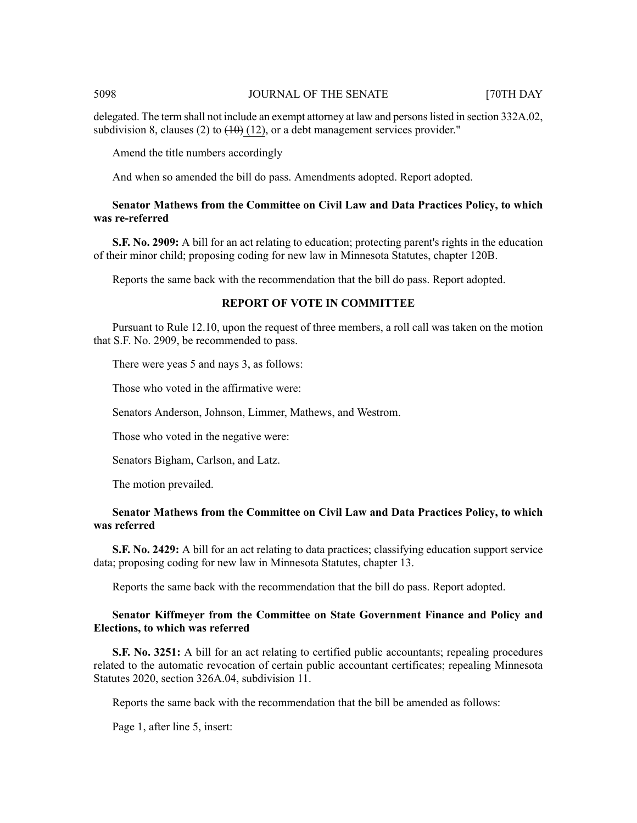delegated. The term shall not include an exempt attorney at law and persons listed in section 332A.02, subdivision 8, clauses (2) to  $(10)(12)$ , or a debt management services provider."

Amend the title numbers accordingly

And when so amended the bill do pass. Amendments adopted. Report adopted.

# **Senator Mathews from the Committee on Civil Law and Data Practices Policy, to which was re-referred**

**S.F. No. 2909:** A bill for an act relating to education; protecting parent's rights in the education of their minor child; proposing coding for new law in Minnesota Statutes, chapter 120B.

Reports the same back with the recommendation that the bill do pass. Report adopted.

# **REPORT OF VOTE IN COMMITTEE**

Pursuant to Rule 12.10, upon the request of three members, a roll call was taken on the motion that S.F. No. 2909, be recommended to pass.

There were yeas 5 and nays 3, as follows:

Those who voted in the affirmative were:

Senators Anderson, Johnson, Limmer, Mathews, and Westrom.

Those who voted in the negative were:

Senators Bigham, Carlson, and Latz.

The motion prevailed.

# **Senator Mathews from the Committee on Civil Law and Data Practices Policy, to which was referred**

**S.F. No. 2429:** A bill for an act relating to data practices; classifying education support service data; proposing coding for new law in Minnesota Statutes, chapter 13.

Reports the same back with the recommendation that the bill do pass. Report adopted.

# **Senator Kiffmeyer from the Committee on State Government Finance and Policy and Elections, to which was referred**

**S.F.** No. 3251: A bill for an act relating to certified public accountants; repealing procedures related to the automatic revocation of certain public accountant certificates; repealing Minnesota Statutes 2020, section 326A.04, subdivision 11.

Reports the same back with the recommendation that the bill be amended as follows:

Page 1, after line 5, insert: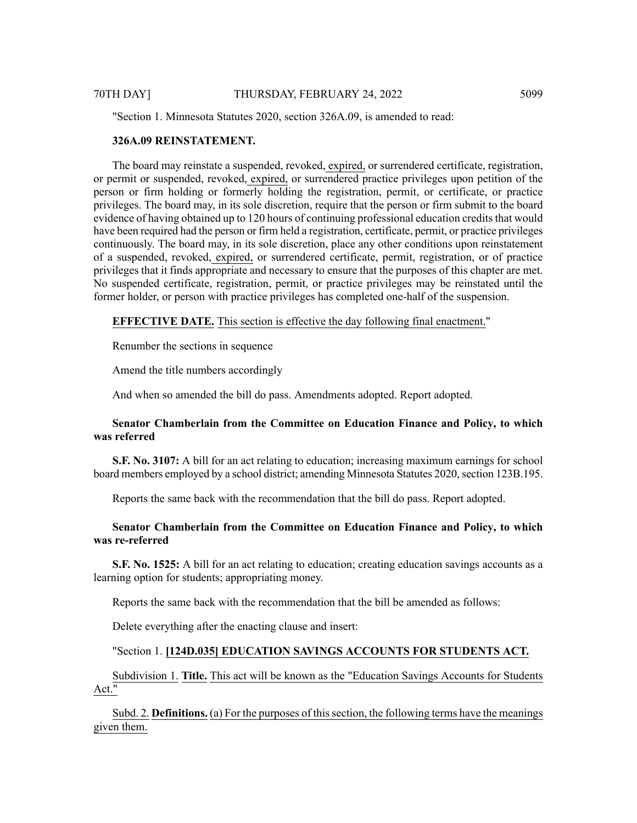"Section 1. Minnesota Statutes 2020, section 326A.09, is amended to read:

### **326A.09 REINSTATEMENT.**

The board may reinstate a suspended, revoked, expired, or surrendered certificate, registration, or permit or suspended, revoked, expired, or surrendered practice privileges upon petition of the person or firm holding or formerly holding the registration, permit, or certificate, or practice privileges. The board may, in its sole discretion, require that the person or firm submit to the board evidence of having obtained up to 120 hours of continuing professional education credits that would have been required had the person or firm held a registration, certificate, permit, or practice privileges continuously. The board may, in its sole discretion, place any other conditions upon reinstatement of a suspended, revoked, expired, or surrendered certificate, permit, registration, or of practice privileges that it finds appropriate and necessary to ensure that the purposes of this chapter are met. No suspended certificate, registration, permit, or practice privileges may be reinstated until the former holder, or person with practice privileges has completed one-half of the suspension.

**EFFECTIVE DATE.** This section is effective the day following final enactment."

Renumber the sections in sequence

Amend the title numbers accordingly

And when so amended the bill do pass. Amendments adopted. Report adopted.

# **Senator Chamberlain from the Committee on Education Finance and Policy, to which was referred**

**S.F. No. 3107:** A bill for an act relating to education; increasing maximum earnings for school board members employed by a school district; amending Minnesota Statutes 2020, section 123B.195.

Reports the same back with the recommendation that the bill do pass. Report adopted.

# **Senator Chamberlain from the Committee on Education Finance and Policy, to which was re-referred**

**S.F. No. 1525:** A bill for an act relating to education; creating education savings accounts as a learning option for students; appropriating money.

Reports the same back with the recommendation that the bill be amended as follows:

Delete everything after the enacting clause and insert:

# "Section 1. **[124D.035] EDUCATION SAVINGS ACCOUNTS FOR STUDENTS ACT.**

Subdivision 1. **Title.** This act will be known as the "Education Savings Accounts for Students Act."

Subd. 2. **Definitions.** (a) For the purposes of this section, the following terms have the meanings given them.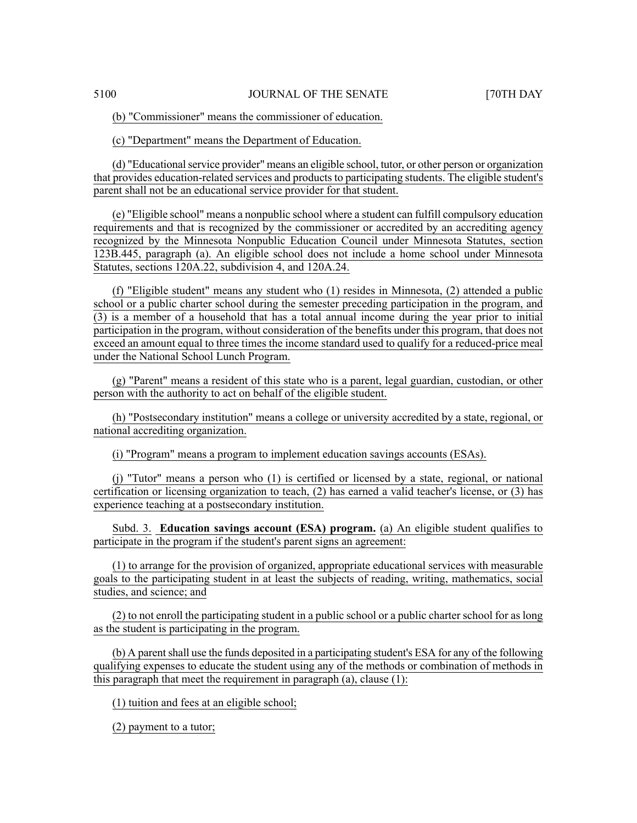(b) "Commissioner" means the commissioner of education.

(c) "Department" means the Department of Education.

(d) "Educationalservice provider" means an eligible school, tutor, or other person or organization that provides education-related services and products to participating students. The eligible student's parent shall not be an educational service provider for that student.

(e) "Eligible school" means a nonpublic school where a student can fulfill compulsory education requirements and that is recognized by the commissioner or accredited by an accrediting agency recognized by the Minnesota Nonpublic Education Council under Minnesota Statutes, section 123B.445, paragraph (a). An eligible school does not include a home school under Minnesota Statutes, sections 120A.22, subdivision 4, and 120A.24.

(f) "Eligible student" means any student who (1) resides in Minnesota, (2) attended a public school or a public charter school during the semester preceding participation in the program, and (3) is a member of a household that has a total annual income during the year prior to initial participation in the program, without consideration of the benefits under this program, that does not exceed an amount equal to three times the income standard used to qualify for a reduced-price meal under the National School Lunch Program.

(g) "Parent" means a resident of this state who is a parent, legal guardian, custodian, or other person with the authority to act on behalf of the eligible student.

(h) "Postsecondary institution" means a college or university accredited by a state, regional, or national accrediting organization.

(i) "Program" means a program to implement education savings accounts (ESAs).

(j) "Tutor" means a person who (1) is certified or licensed by a state, regional, or national certification or licensing organization to teach, (2) has earned a valid teacher's license, or (3) has experience teaching at a postsecondary institution.

Subd. 3. **Education savings account (ESA) program.** (a) An eligible student qualifies to participate in the program if the student's parent signs an agreement:

(1) to arrange for the provision of organized, appropriate educational services with measurable goals to the participating student in at least the subjects of reading, writing, mathematics, social studies, and science; and

(2) to not enroll the participating student in a public school or a public charter school for as long as the student is participating in the program.

(b) A parent shall use the funds deposited in a participating student's ESA for any of the following qualifying expenses to educate the student using any of the methods or combination of methods in this paragraph that meet the requirement in paragraph (a), clause (1):

(1) tuition and fees at an eligible school;

(2) payment to a tutor;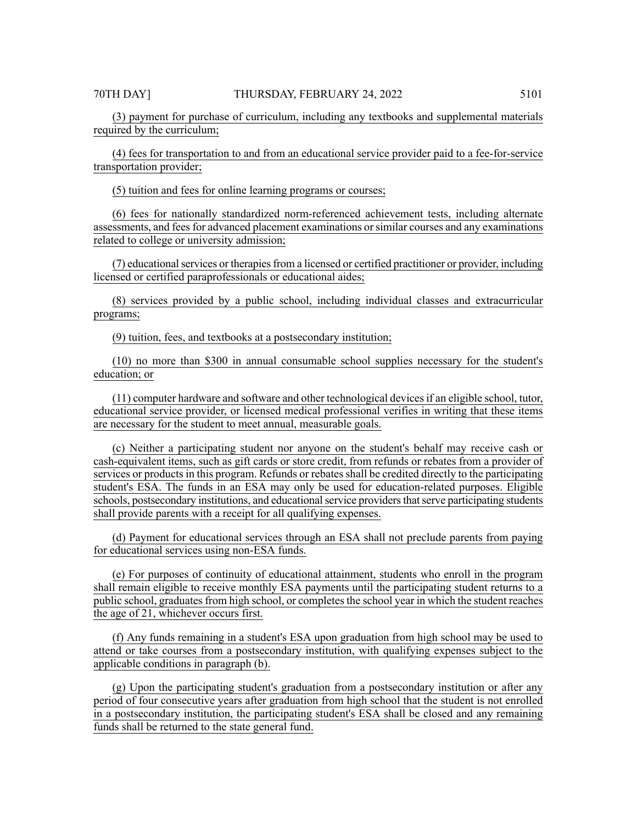(3) payment for purchase of curriculum, including any textbooks and supplemental materials required by the curriculum;

(4) fees for transportation to and from an educational service provider paid to a fee-for-service transportation provider;

(5) tuition and fees for online learning programs or courses;

(6) fees for nationally standardized norm-referenced achievement tests, including alternate assessments, and feesfor advanced placement examinations orsimilar courses and any examinations related to college or university admission;

(7) educationalservices or therapiesfrom a licensed or certified practitioner or provider, including licensed or certified paraprofessionals or educational aides;

(8) services provided by a public school, including individual classes and extracurricular programs;

(9) tuition, fees, and textbooks at a postsecondary institution;

(10) no more than \$300 in annual consumable school supplies necessary for the student's education; or

(11) computer hardware and software and other technological devicesif an eligible school, tutor, educational service provider, or licensed medical professional verifies in writing that these items are necessary for the student to meet annual, measurable goals.

(c) Neither a participating student nor anyone on the student's behalf may receive cash or cash-equivalent items, such as gift cards or store credit, from refunds or rebates from a provider of services or products in this program. Refunds or rebates shall be credited directly to the participating student's ESA. The funds in an ESA may only be used for education-related purposes. Eligible schools, postsecondary institutions, and educational service providers that serve participating students shall provide parents with a receipt for all qualifying expenses.

(d) Payment for educational services through an ESA shall not preclude parents from paying for educational services using non-ESA funds.

(e) For purposes of continuity of educational attainment, students who enroll in the program shall remain eligible to receive monthly ESA payments until the participating student returns to a public school, graduates from high school, or completes the school year in which the student reaches the age of 21, whichever occurs first.

(f) Any funds remaining in a student's ESA upon graduation from high school may be used to attend or take courses from a postsecondary institution, with qualifying expenses subject to the applicable conditions in paragraph (b).

(g) Upon the participating student's graduation from a postsecondary institution or after any period of four consecutive years after graduation from high school that the student is not enrolled in a postsecondary institution, the participating student's ESA shall be closed and any remaining funds shall be returned to the state general fund.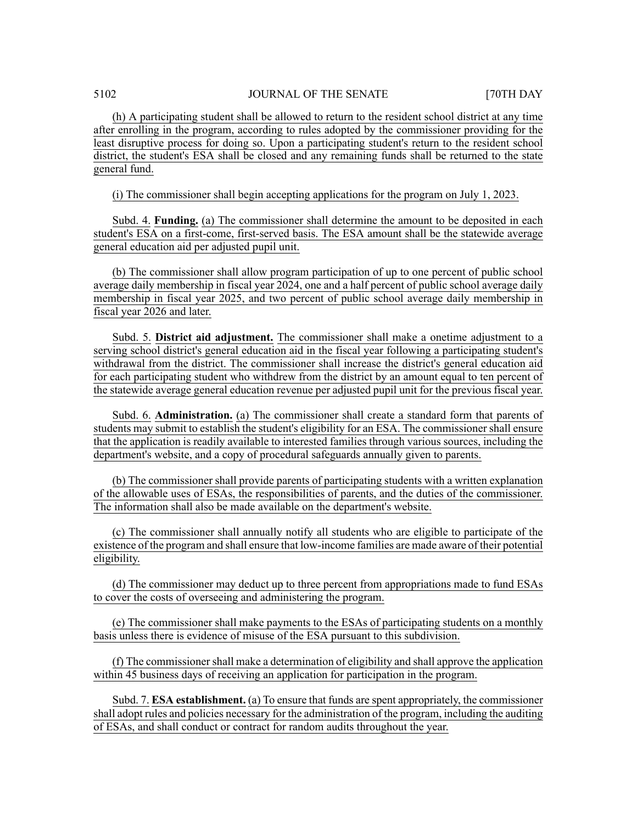(h) A participating student shall be allowed to return to the resident school district at any time after enrolling in the program, according to rules adopted by the commissioner providing for the least disruptive process for doing so. Upon a participating student's return to the resident school district, the student's ESA shall be closed and any remaining funds shall be returned to the state general fund.

(i) The commissioner shall begin accepting applications for the program on July 1, 2023.

Subd. 4. **Funding.** (a) The commissioner shall determine the amount to be deposited in each student's ESA on a first-come, first-served basis. The ESA amount shall be the statewide average general education aid per adjusted pupil unit.

(b) The commissioner shall allow program participation of up to one percent of public school average daily membership in fiscal year 2024, one and a half percent of public school average daily membership in fiscal year 2025, and two percent of public school average daily membership in fiscal year 2026 and later.

Subd. 5. **District aid adjustment.** The commissioner shall make a onetime adjustment to a serving school district's general education aid in the fiscal year following a participating student's withdrawal from the district. The commissioner shall increase the district's general education aid for each participating student who withdrew from the district by an amount equal to ten percent of the statewide average general education revenue per adjusted pupil unit for the previous fiscal year.

Subd. 6. **Administration.** (a) The commissioner shall create a standard form that parents of students may submit to establish the student's eligibility for an ESA. The commissioner shall ensure that the application is readily available to interested families through various sources, including the department's website, and a copy of procedural safeguards annually given to parents.

(b) The commissioner shall provide parents of participating students with a written explanation of the allowable uses of ESAs, the responsibilities of parents, and the duties of the commissioner. The information shall also be made available on the department's website.

(c) The commissioner shall annually notify all students who are eligible to participate of the existence of the program and shall ensure that low-income families are made aware of their potential eligibility.

(d) The commissioner may deduct up to three percent from appropriations made to fund ESAs to cover the costs of overseeing and administering the program.

(e) The commissioner shall make payments to the ESAs of participating students on a monthly basis unless there is evidence of misuse of the ESA pursuant to this subdivision.

(f) The commissioner shall make a determination of eligibility and shall approve the application within 45 business days of receiving an application for participation in the program.

Subd. 7. **ESA establishment.** (a) To ensure that funds are spent appropriately, the commissioner shall adopt rules and policies necessary for the administration of the program, including the auditing of ESAs, and shall conduct or contract for random audits throughout the year.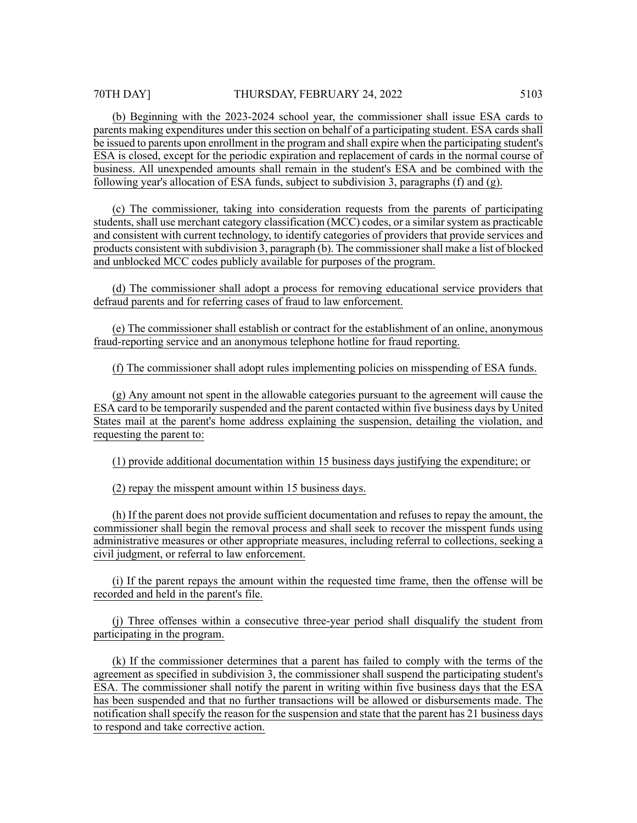(b) Beginning with the 2023-2024 school year, the commissioner shall issue ESA cards to parents making expenditures under this section on behalf of a participating student. ESA cards shall be issued to parents upon enrollment in the program and shall expire when the participating student's ESA is closed, except for the periodic expiration and replacement of cards in the normal course of business. All unexpended amounts shall remain in the student's ESA and be combined with the following year's allocation of ESA funds, subject to subdivision 3, paragraphs (f) and (g).

(c) The commissioner, taking into consideration requests from the parents of participating students, shall use merchant category classification (MCC) codes, or a similar system as practicable and consistent with current technology, to identify categories of providers that provide services and products consistent with subdivision 3, paragraph (b). The commissionershall make a list of blocked and unblocked MCC codes publicly available for purposes of the program.

(d) The commissioner shall adopt a process for removing educational service providers that defraud parents and for referring cases of fraud to law enforcement.

(e) The commissioner shall establish or contract for the establishment of an online, anonymous fraud-reporting service and an anonymous telephone hotline for fraud reporting.

(f) The commissioner shall adopt rules implementing policies on misspending of ESA funds.

(g) Any amount not spent in the allowable categories pursuant to the agreement will cause the ESA card to be temporarily suspended and the parent contacted within five business days by United States mail at the parent's home address explaining the suspension, detailing the violation, and requesting the parent to:

(1) provide additional documentation within 15 business days justifying the expenditure; or

(2) repay the misspent amount within 15 business days.

(h) If the parent does not provide sufficient documentation and refuses to repay the amount, the commissioner shall begin the removal process and shall seek to recover the misspent funds using administrative measures or other appropriate measures, including referral to collections, seeking a civil judgment, or referral to law enforcement.

(i) If the parent repays the amount within the requested time frame, then the offense will be recorded and held in the parent's file.

(j) Three offenses within a consecutive three-year period shall disqualify the student from participating in the program.

(k) If the commissioner determines that a parent has failed to comply with the terms of the agreement as specified in subdivision 3, the commissioner shall suspend the participating student's ESA. The commissioner shall notify the parent in writing within five business days that the ESA has been suspended and that no further transactions will be allowed or disbursements made. The notification shall specify the reason for the suspension and state that the parent has 21 business days to respond and take corrective action.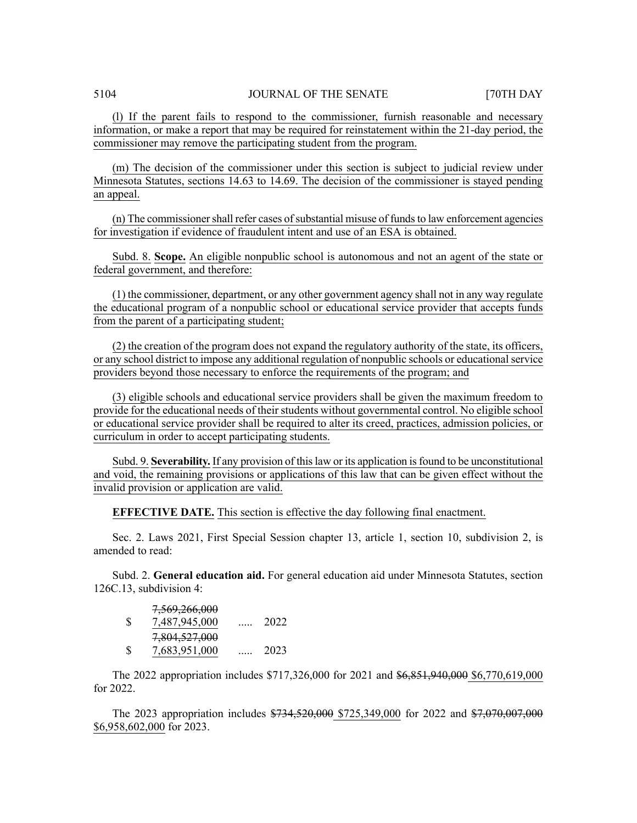(l) If the parent fails to respond to the commissioner, furnish reasonable and necessary information, or make a report that may be required for reinstatement within the 21-day period, the commissioner may remove the participating student from the program.

(m) The decision of the commissioner under this section is subject to judicial review under Minnesota Statutes, sections 14.63 to 14.69. The decision of the commissioner is stayed pending an appeal.

 $(n)$  The commissioner shall refer cases of substantial misuse of funds to law enforcement agencies for investigation if evidence of fraudulent intent and use of an ESA is obtained.

Subd. 8. **Scope.** An eligible nonpublic school is autonomous and not an agent of the state or federal government, and therefore:

(1) the commissioner, department, or any other government agency shall not in any way regulate the educational program of a nonpublic school or educational service provider that accepts funds from the parent of a participating student;

(2) the creation of the program does not expand the regulatory authority of the state, its officers, or any school district to impose any additional regulation of nonpublic schools or educationalservice providers beyond those necessary to enforce the requirements of the program; and

(3) eligible schools and educational service providers shall be given the maximum freedom to provide for the educational needs of their students without governmental control. No eligible school or educational service provider shall be required to alter its creed, practices, admission policies, or curriculum in order to accept participating students.

Subd. 9. **Severability.** If any provision of thislaw or its application isfound to be unconstitutional and void, the remaining provisions or applications of this law that can be given effect without the invalid provision or application are valid.

**EFFECTIVE DATE.** This section is effective the day following final enactment.

Sec. 2. Laws 2021, First Special Session chapter 13, article 1, section 10, subdivision 2, is amended to read:

Subd. 2. **General education aid.** For general education aid under Minnesota Statutes, section 126C.13, subdivision 4:

|               | 7,569,266,000 |      |
|---------------|---------------|------|
| <sup>\$</sup> | 7,487,945,000 | 2022 |
|               | 7,804,527,000 |      |
| <b>S</b>      | 7,683,951,000 | 2023 |

The 2022 appropriation includes \$717,326,000 for 2021 and \$6,851,940,000 \$6,770,619,000 for 2022.

The 2023 appropriation includes \$734,520,000 \$725,349,000 for 2022 and \$7,070,007,000 \$6,958,602,000 for 2023.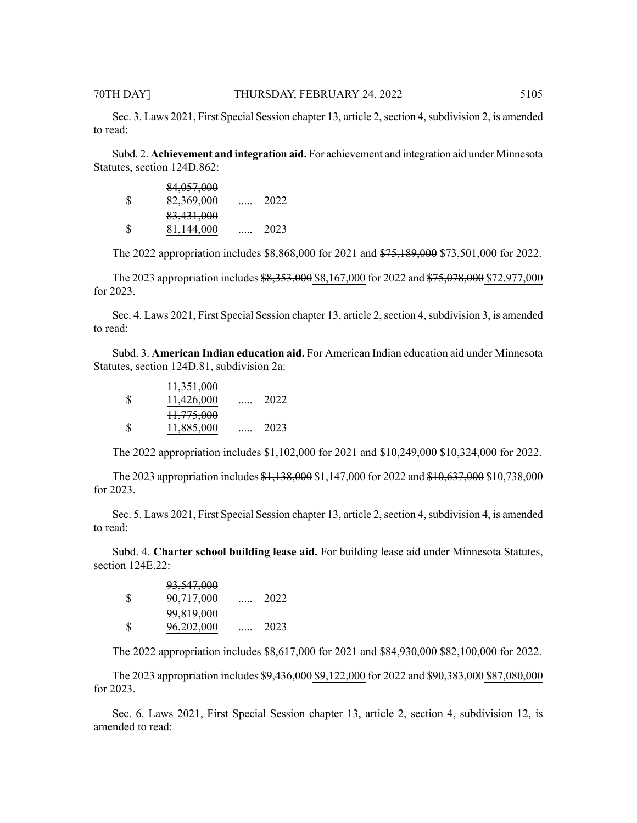to read:

Subd. 2. **Achievement and integration aid.** For achievement and integration aid under Minnesota Statutes, section 124D.862:

|               | 84,057,000 |      |
|---------------|------------|------|
| <sup>\$</sup> | 82,369,000 | 2022 |
|               | 83,431,000 |      |
| <b>S</b>      | 81,144,000 | 2023 |

The 2022 appropriation includes \$8,868,000 for 2021 and \$75,189,000 \$73,501,000 for 2022.

The 2023 appropriation includes \$8,353,000 \$8,167,000 for 2022 and \$75,078,000 \$72,977,000 for 2023.

Sec. 4. Laws 2021, First Special Session chapter 13, article 2, section 4, subdivision 3, is amended to read:

Subd. 3. **American Indian education aid.** For American Indian education aid under Minnesota Statutes, section 124D.81, subdivision 2a:

|              | 11,351,000 |      |
|--------------|------------|------|
| -S           | 11,426,000 | 2022 |
|              | 11,775,000 |      |
| <sup>S</sup> | 11,885,000 | 2023 |

The 2022 appropriation includes \$1,102,000 for 2021 and \$10,249,000 \$10,324,000 for 2022.

The 2023 appropriation includes \$1,138,000 \$1,147,000 for 2022 and \$10,637,000 \$10,738,000 for 2023.

Sec. 5. Laws 2021, First Special Session chapter 13, article 2, section 4, subdivision 4, is amended to read:

Subd. 4. **Charter school building lease aid.** For building lease aid under Minnesota Statutes, section 124E.22:

|               | <del>93,547,000</del> |      |
|---------------|-----------------------|------|
| <sup>\$</sup> | 90,717,000            | 2022 |
|               | 99,819,000            |      |
| <sup>\$</sup> | 96,202,000            | 2023 |

93,547,000

The 2022 appropriation includes \$8,617,000 for 2021 and \$84,930,000 \$82,100,000 for 2022.

The 2023 appropriation includes \$9,436,000 \$9,122,000 for 2022 and \$90,383,000 \$87,080,000 for 2023.

Sec. 6. Laws 2021, First Special Session chapter 13, article 2, section 4, subdivision 12, is amended to read: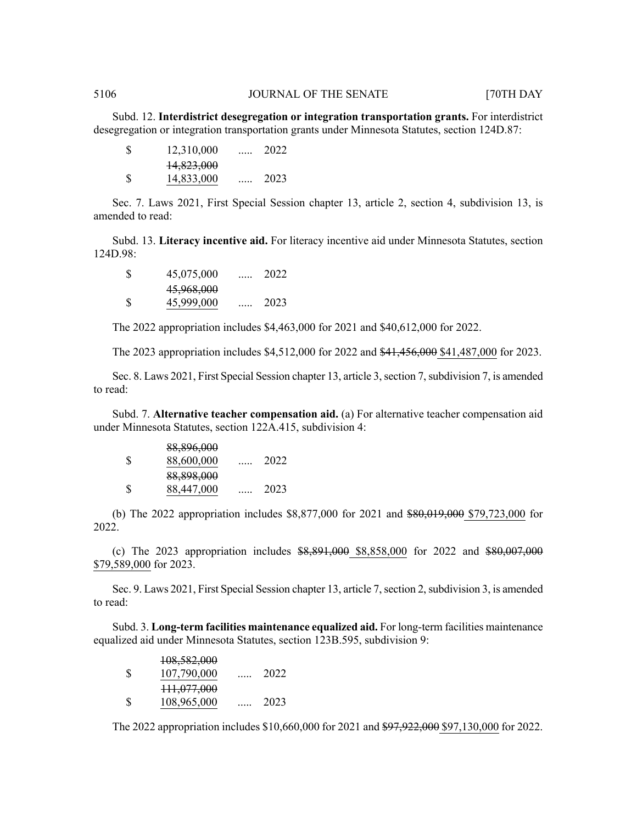Subd. 12. **Interdistrict desegregation or integration transportation grants.** For interdistrict desegregation or integration transportation grants under Minnesota Statutes, section 124D.87:

| S | 12,310,000 | <br>2022 |
|---|------------|----------|
|   | 14,823,000 |          |
| S | 14,833,000 | 2023     |

Sec. 7. Laws 2021, First Special Session chapter 13, article 2, section 4, subdivision 13, is amended to read:

Subd. 13. **Literacy incentive aid.** For literacy incentive aid under Minnesota Statutes, section 124D.98:

| S  | 45,075,000 | . | 2022 |
|----|------------|---|------|
|    | 45,968,000 |   |      |
| -S | 45,999,000 |   | 2023 |

The 2022 appropriation includes \$4,463,000 for 2021 and \$40,612,000 for 2022.

The 2023 appropriation includes \$4,512,000 for 2022 and \$41,456,000 \$41,487,000 for 2023.

Sec. 8. Laws 2021, First Special Session chapter 13, article 3, section 7, subdivision 7, is amended to read:

Subd. 7. **Alternative teacher compensation aid.** (a) For alternative teacher compensation aid under Minnesota Statutes, section 122A.415, subdivision 4:

|               | 88,896,000 |      |
|---------------|------------|------|
| <sup>\$</sup> | 88,600,000 | 2022 |
|               | 88,898,000 |      |
| <sup>\$</sup> | 88,447,000 | 2023 |

(b) The 2022 appropriation includes \$8,877,000 for 2021 and \$80,019,000 \$79,723,000 for 2022.

(c) The 2023 appropriation includes  $$8,891,000$   $$8,858,000$  for 2022 and  $$80,007,000$ \$79,589,000 for 2023.

Sec. 9. Laws 2021, First Special Session chapter 13, article 7, section 2, subdivision 3, is amended to read:

Subd. 3. **Long-term facilities maintenance equalized aid.** For long-term facilities maintenance equalized aid under Minnesota Statutes, section 123B.595, subdivision 9:

|    | 108,582,000 |      |
|----|-------------|------|
| \$ | 107,790,000 | 2022 |
|    | 111,077,000 |      |
| S  | 108,965,000 | 2023 |

The 2022 appropriation includes \$10,660,000 for 2021 and \$97,922,000 \$97,130,000 for 2022.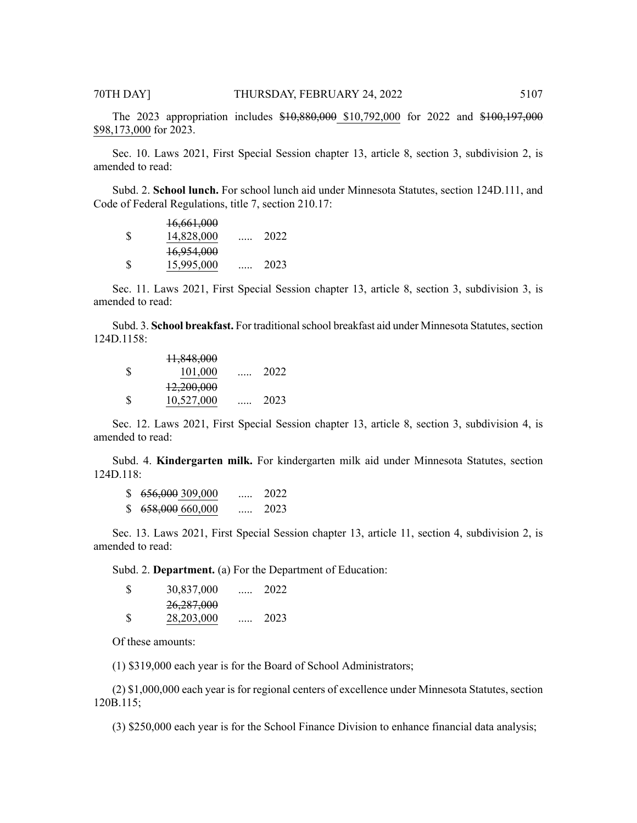The 2023 appropriation includes \$10,880,000 \$10,792,000 for 2022 and \$100,197,000 \$98,173,000 for 2023.

Sec. 10. Laws 2021, First Special Session chapter 13, article 8, section 3, subdivision 2, is amended to read:

Subd. 2. **School lunch.** For school lunch aid under Minnesota Statutes, section 124D.111, and Code of Federal Regulations, title 7, section 210.17:

|    | 16,661,000 |      |
|----|------------|------|
| -S | 14,828,000 | 2022 |
|    | 16,954,000 |      |
| -S | 15,995,000 | 2023 |

Sec. 11. Laws 2021, First Special Session chapter 13, article 8, section 3, subdivision 3, is amended to read:

Subd. 3. **School breakfast.** For traditional school breakfast aid under Minnesota Statutes, section 124D.1158:

|               | 11,848,000 |      |
|---------------|------------|------|
| <sup>\$</sup> | 101,000    | 2022 |
|               | 12,200,000 |      |
| S             | 10,527,000 | 2023 |

Sec. 12. Laws 2021, First Special Session chapter 13, article 8, section 3, subdivision 4, is amended to read:

Subd. 4. **Kindergarten milk.** For kindergarten milk aid under Minnesota Statutes, section 124D.118:

| \$. | 656,000 309,000 | $\cdots$ | 2022 |
|-----|-----------------|----------|------|
| S.  | 658,000 660,000 | $\cdots$ | 2023 |

Sec. 13. Laws 2021, First Special Session chapter 13, article 11, section 4, subdivision 2, is amended to read:

Subd. 2. **Department.** (a) For the Department of Education:

| <sup>S</sup> | 30,837,000 | . | 2022 |
|--------------|------------|---|------|
|              | 26,287,000 |   |      |
| S            | 28,203,000 |   | 2023 |

Of these amounts:

(1) \$319,000 each year is for the Board of School Administrators;

(2) \$1,000,000 each year is for regional centers of excellence under Minnesota Statutes, section 120B.115;

(3) \$250,000 each year is for the School Finance Division to enhance financial data analysis;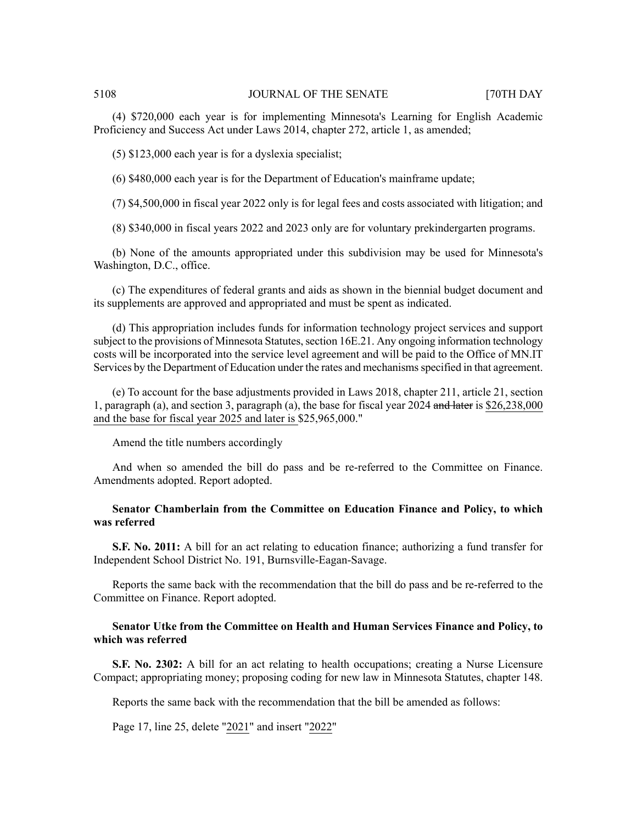(4) \$720,000 each year is for implementing Minnesota's Learning for English Academic Proficiency and Success Act under Laws 2014, chapter 272, article 1, as amended;

(5) \$123,000 each year is for a dyslexia specialist;

(6) \$480,000 each year is for the Department of Education's mainframe update;

(7) \$4,500,000 in fiscal year 2022 only is for legal fees and costs associated with litigation; and

(8) \$340,000 in fiscal years 2022 and 2023 only are for voluntary prekindergarten programs.

(b) None of the amounts appropriated under this subdivision may be used for Minnesota's Washington, D.C., office.

(c) The expenditures of federal grants and aids as shown in the biennial budget document and its supplements are approved and appropriated and must be spent as indicated.

(d) This appropriation includes funds for information technology project services and support subject to the provisions of Minnesota Statutes, section 16E.21. Any ongoing information technology costs will be incorporated into the service level agreement and will be paid to the Office of MN.IT Services by the Department of Education under the rates and mechanisms specified in that agreement.

(e) To account for the base adjustments provided in Laws 2018, chapter 211, article 21, section 1, paragraph (a), and section 3, paragraph (a), the base for fiscal year 2024 and later is \$26,238,000 and the base for fiscal year 2025 and later is \$25,965,000."

Amend the title numbers accordingly

And when so amended the bill do pass and be re-referred to the Committee on Finance. Amendments adopted. Report adopted.

# **Senator Chamberlain from the Committee on Education Finance and Policy, to which was referred**

**S.F. No. 2011:** A bill for an act relating to education finance; authorizing a fund transfer for Independent School District No. 191, Burnsville-Eagan-Savage.

Reports the same back with the recommendation that the bill do pass and be re-referred to the Committee on Finance. Report adopted.

### **Senator Utke from the Committee on Health and Human Services Finance and Policy, to which was referred**

**S.F. No. 2302:** A bill for an act relating to health occupations; creating a Nurse Licensure Compact; appropriating money; proposing coding for new law in Minnesota Statutes, chapter 148.

Reports the same back with the recommendation that the bill be amended as follows:

Page 17, line 25, delete "2021" and insert "2022"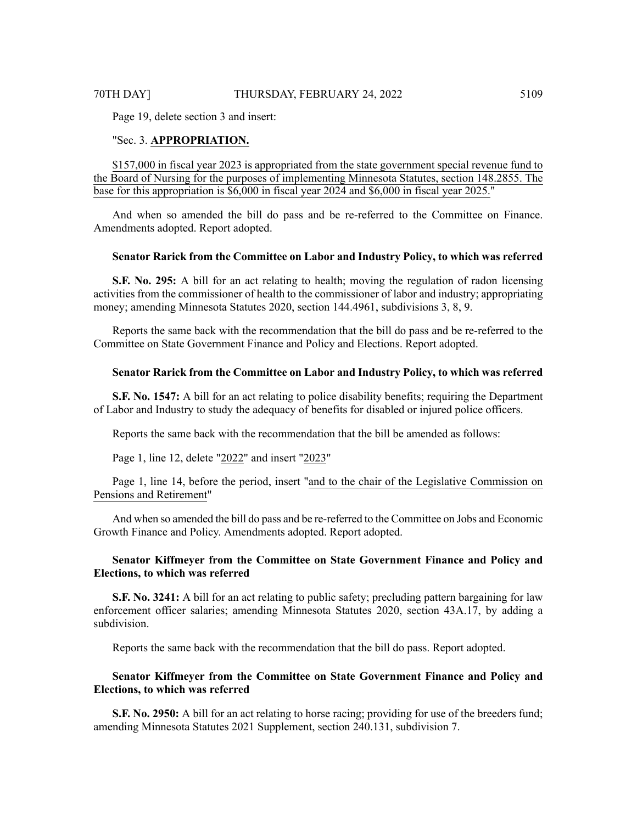Page 19, delete section 3 and insert:

### "Sec. 3. **APPROPRIATION.**

\$157,000 in fiscal year 2023 is appropriated from the state government special revenue fund to the Board of Nursing for the purposes of implementing Minnesota Statutes, section 148.2855. The base for this appropriation is \$6,000 in fiscal year 2024 and \$6,000 in fiscal year 2025."

And when so amended the bill do pass and be re-referred to the Committee on Finance. Amendments adopted. Report adopted.

# **Senator Rarick from the Committee on Labor and Industry Policy, to which was referred**

**S.F. No. 295:** A bill for an act relating to health; moving the regulation of radon licensing activities from the commissioner of health to the commissioner of labor and industry; appropriating money; amending Minnesota Statutes 2020, section 144.4961, subdivisions 3, 8, 9.

Reports the same back with the recommendation that the bill do pass and be re-referred to the Committee on State Government Finance and Policy and Elections. Report adopted.

# **Senator Rarick from the Committee on Labor and Industry Policy, to which was referred**

**S.F. No. 1547:** A bill for an act relating to police disability benefits; requiring the Department of Labor and Industry to study the adequacy of benefits for disabled or injured police officers.

Reports the same back with the recommendation that the bill be amended as follows:

Page 1, line 12, delete "2022" and insert "2023"

Page 1, line 14, before the period, insert "and to the chair of the Legislative Commission on Pensions and Retirement"

And when so amended the bill do pass and be re-referred to the Committee on Jobs and Economic Growth Finance and Policy. Amendments adopted. Report adopted.

# **Senator Kiffmeyer from the Committee on State Government Finance and Policy and Elections, to which was referred**

**S.F. No. 3241:** A bill for an act relating to public safety; precluding pattern bargaining for law enforcement officer salaries; amending Minnesota Statutes 2020, section 43A.17, by adding a subdivision.

Reports the same back with the recommendation that the bill do pass. Report adopted.

# **Senator Kiffmeyer from the Committee on State Government Finance and Policy and Elections, to which was referred**

**S.F. No. 2950:** A bill for an act relating to horse racing; providing for use of the breeders fund; amending Minnesota Statutes 2021 Supplement, section 240.131, subdivision 7.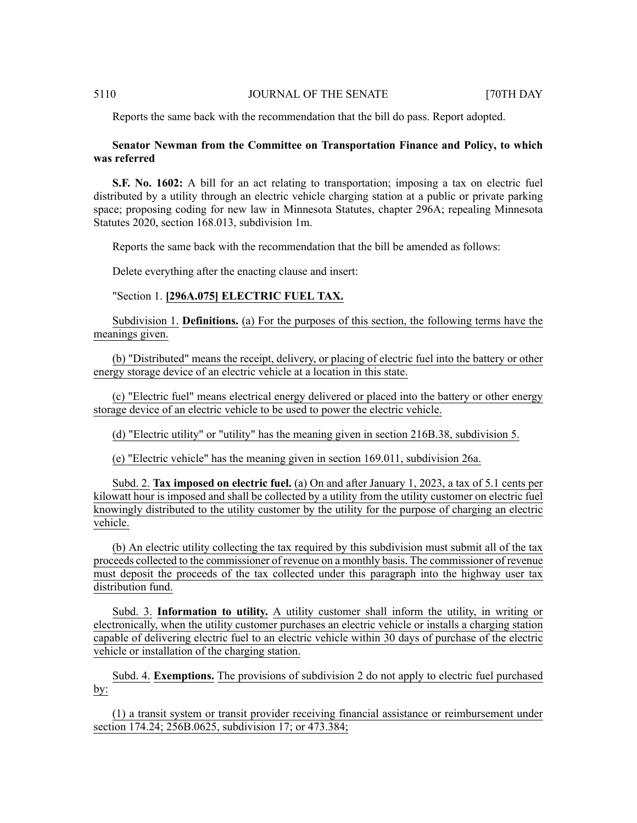Reports the same back with the recommendation that the bill do pass. Report adopted.

# **Senator Newman from the Committee on Transportation Finance and Policy, to which was referred**

**S.F. No. 1602:** A bill for an act relating to transportation; imposing a tax on electric fuel distributed by a utility through an electric vehicle charging station at a public or private parking space; proposing coding for new law in Minnesota Statutes, chapter 296A; repealing Minnesota Statutes 2020, section 168.013, subdivision 1m.

Reports the same back with the recommendation that the bill be amended as follows:

Delete everything after the enacting clause and insert:

# "Section 1. **[296A.075] ELECTRIC FUEL TAX.**

Subdivision 1. **Definitions.** (a) For the purposes of this section, the following terms have the meanings given.

(b) "Distributed" means the receipt, delivery, or placing of electric fuel into the battery or other energy storage device of an electric vehicle at a location in this state.

(c) "Electric fuel" means electrical energy delivered or placed into the battery or other energy storage device of an electric vehicle to be used to power the electric vehicle.

(d) "Electric utility" or "utility" has the meaning given in section 216B.38, subdivision 5.

(e) "Electric vehicle" has the meaning given in section 169.011, subdivision 26a.

Subd. 2. **Tax imposed on electric fuel.** (a) On and after January 1, 2023, a tax of 5.1 cents per kilowatt hour is imposed and shall be collected by a utility from the utility customer on electric fuel knowingly distributed to the utility customer by the utility for the purpose of charging an electric vehicle.

(b) An electric utility collecting the tax required by this subdivision must submit all of the tax proceeds collected to the commissioner of revenue on a monthly basis. The commissioner of revenue must deposit the proceeds of the tax collected under this paragraph into the highway user tax distribution fund.

Subd. 3. **Information to utility.** A utility customer shall inform the utility, in writing or electronically, when the utility customer purchases an electric vehicle or installs a charging station capable of delivering electric fuel to an electric vehicle within 30 days of purchase of the electric vehicle or installation of the charging station.

Subd. 4. **Exemptions.** The provisions of subdivision 2 do not apply to electric fuel purchased by:

(1) a transit system or transit provider receiving financial assistance or reimbursement under section 174.24; 256B.0625, subdivision 17; or 473.384;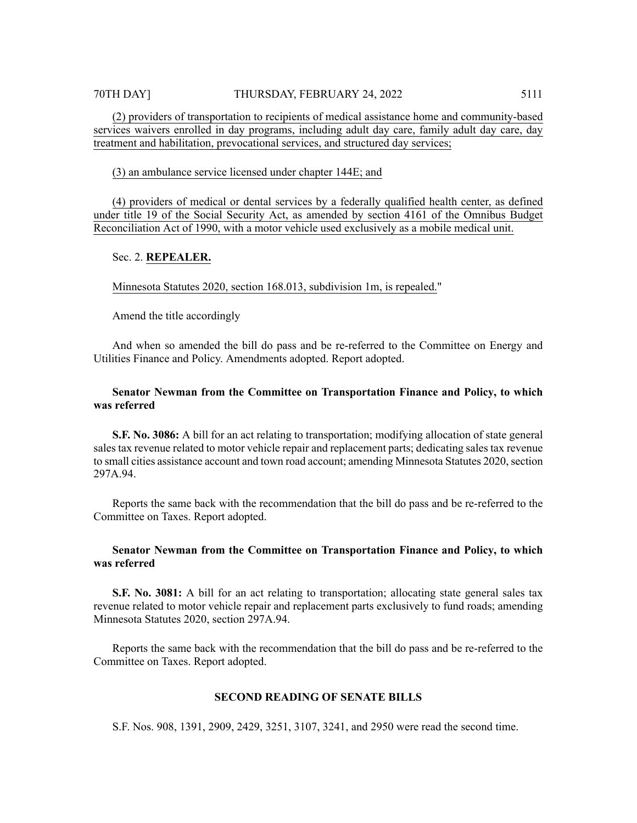(2) providers of transportation to recipients of medical assistance home and community-based services waivers enrolled in day programs, including adult day care, family adult day care, day treatment and habilitation, prevocational services, and structured day services;

#### (3) an ambulance service licensed under chapter 144E; and

(4) providers of medical or dental services by a federally qualified health center, as defined under title 19 of the Social Security Act, as amended by section 4161 of the Omnibus Budget Reconciliation Act of 1990, with a motor vehicle used exclusively as a mobile medical unit.

# Sec. 2. **REPEALER.**

Minnesota Statutes 2020, section 168.013, subdivision 1m, is repealed."

Amend the title accordingly

And when so amended the bill do pass and be re-referred to the Committee on Energy and Utilities Finance and Policy. Amendments adopted. Report adopted.

# **Senator Newman from the Committee on Transportation Finance and Policy, to which was referred**

**S.F. No. 3086:** A bill for an act relating to transportation; modifying allocation of state general sales tax revenue related to motor vehicle repair and replacement parts; dedicating sales tax revenue to small cities assistance account and town road account; amending Minnesota Statutes 2020, section 297A.94.

Reports the same back with the recommendation that the bill do pass and be re-referred to the Committee on Taxes. Report adopted.

# **Senator Newman from the Committee on Transportation Finance and Policy, to which was referred**

**S.F. No. 3081:** A bill for an act relating to transportation; allocating state general sales tax revenue related to motor vehicle repair and replacement parts exclusively to fund roads; amending Minnesota Statutes 2020, section 297A.94.

Reports the same back with the recommendation that the bill do pass and be re-referred to the Committee on Taxes. Report adopted.

# **SECOND READING OF SENATE BILLS**

S.F. Nos. 908, 1391, 2909, 2429, 3251, 3107, 3241, and 2950 were read the second time.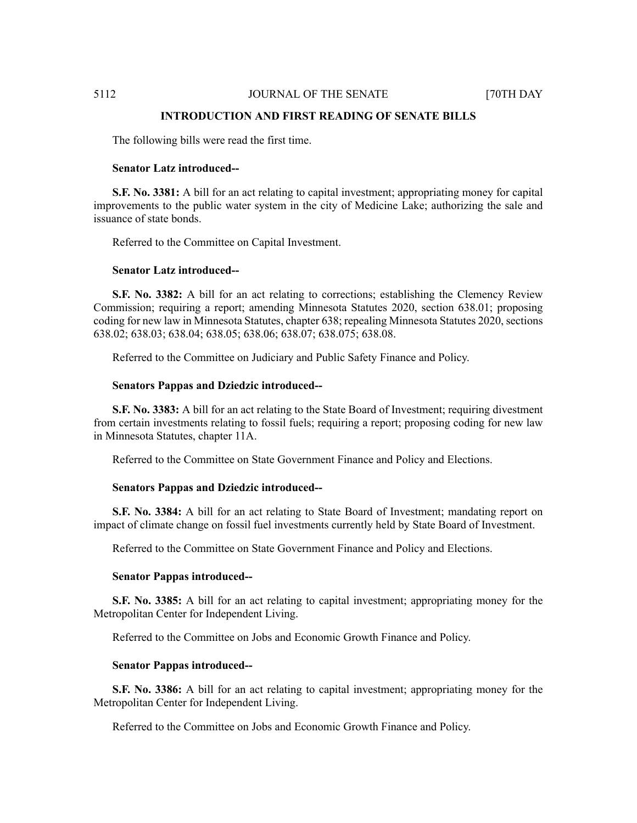### **INTRODUCTION AND FIRST READING OF SENATE BILLS**

The following bills were read the first time.

#### **Senator Latz introduced--**

**S.F. No. 3381:** A bill for an act relating to capital investment; appropriating money for capital improvements to the public water system in the city of Medicine Lake; authorizing the sale and issuance of state bonds.

Referred to the Committee on Capital Investment.

# **Senator Latz introduced--**

**S.F. No. 3382:** A bill for an act relating to corrections; establishing the Clemency Review Commission; requiring a report; amending Minnesota Statutes 2020, section 638.01; proposing coding for new law in Minnesota Statutes, chapter 638; repealing Minnesota Statutes 2020, sections 638.02; 638.03; 638.04; 638.05; 638.06; 638.07; 638.075; 638.08.

Referred to the Committee on Judiciary and Public Safety Finance and Policy.

#### **Senators Pappas and Dziedzic introduced--**

**S.F. No. 3383:** A bill for an act relating to the State Board of Investment; requiring divestment from certain investments relating to fossil fuels; requiring a report; proposing coding for new law in Minnesota Statutes, chapter 11A.

Referred to the Committee on State Government Finance and Policy and Elections.

#### **Senators Pappas and Dziedzic introduced--**

**S.F. No. 3384:** A bill for an act relating to State Board of Investment; mandating report on impact of climate change on fossil fuel investments currently held by State Board of Investment.

Referred to the Committee on State Government Finance and Policy and Elections.

## **Senator Pappas introduced--**

**S.F. No. 3385:** A bill for an act relating to capital investment; appropriating money for the Metropolitan Center for Independent Living.

Referred to the Committee on Jobs and Economic Growth Finance and Policy.

#### **Senator Pappas introduced--**

**S.F. No. 3386:** A bill for an act relating to capital investment; appropriating money for the Metropolitan Center for Independent Living.

Referred to the Committee on Jobs and Economic Growth Finance and Policy.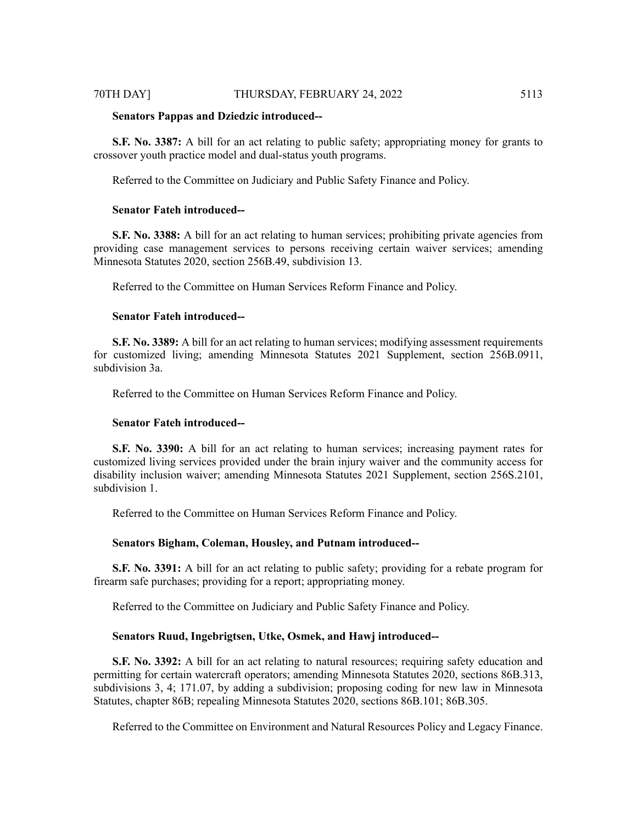### 70TH DAY] THURSDAY, FEBRUARY 24, 2022 5113

#### **Senators Pappas and Dziedzic introduced--**

**S.F. No. 3387:** A bill for an act relating to public safety; appropriating money for grants to crossover youth practice model and dual-status youth programs.

Referred to the Committee on Judiciary and Public Safety Finance and Policy.

# **Senator Fateh introduced--**

**S.F. No. 3388:** A bill for an act relating to human services; prohibiting private agencies from providing case management services to persons receiving certain waiver services; amending Minnesota Statutes 2020, section 256B.49, subdivision 13.

Referred to the Committee on Human Services Reform Finance and Policy.

# **Senator Fateh introduced--**

**S.F. No. 3389:** A bill for an act relating to human services; modifying assessment requirements for customized living; amending Minnesota Statutes 2021 Supplement, section 256B.0911, subdivision 3a.

Referred to the Committee on Human Services Reform Finance and Policy.

## **Senator Fateh introduced--**

**S.F. No. 3390:** A bill for an act relating to human services; increasing payment rates for customized living services provided under the brain injury waiver and the community access for disability inclusion waiver; amending Minnesota Statutes 2021 Supplement, section 256S.2101, subdivision 1.

Referred to the Committee on Human Services Reform Finance and Policy.

# **Senators Bigham, Coleman, Housley, and Putnam introduced--**

**S.F. No. 3391:** A bill for an act relating to public safety; providing for a rebate program for firearm safe purchases; providing for a report; appropriating money.

Referred to the Committee on Judiciary and Public Safety Finance and Policy.

#### **Senators Ruud, Ingebrigtsen, Utke, Osmek, and Hawj introduced--**

**S.F. No. 3392:** A bill for an act relating to natural resources; requiring safety education and permitting for certain watercraft operators; amending Minnesota Statutes 2020, sections 86B.313, subdivisions 3, 4; 171.07, by adding a subdivision; proposing coding for new law in Minnesota Statutes, chapter 86B; repealing Minnesota Statutes 2020, sections 86B.101; 86B.305.

Referred to the Committee on Environment and Natural Resources Policy and Legacy Finance.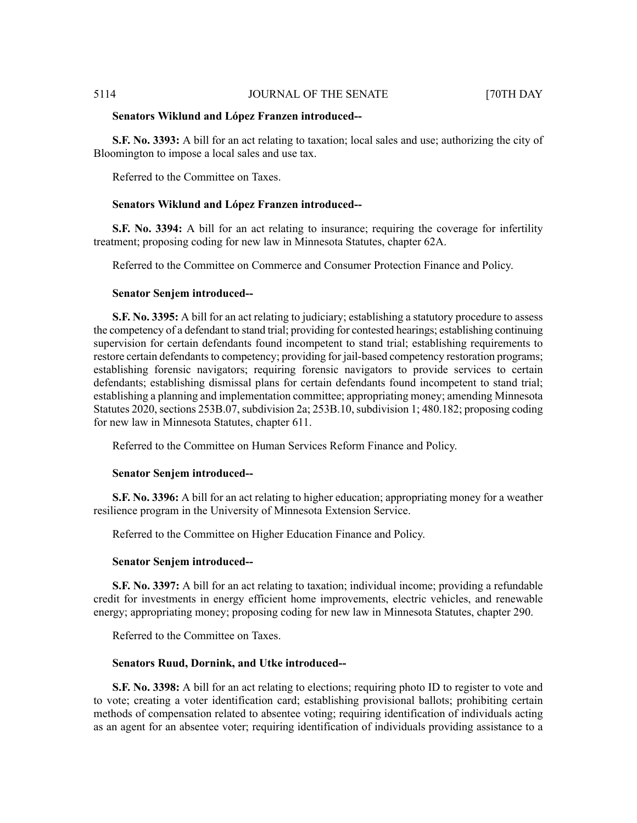#### **Senators Wiklund and López Franzen introduced--**

**S.F. No. 3393:** A bill for an act relating to taxation; local sales and use; authorizing the city of Bloomington to impose a local sales and use tax.

Referred to the Committee on Taxes.

#### **Senators Wiklund and López Franzen introduced--**

**S.F. No. 3394:** A bill for an act relating to insurance; requiring the coverage for infertility treatment; proposing coding for new law in Minnesota Statutes, chapter 62A.

Referred to the Committee on Commerce and Consumer Protection Finance and Policy.

#### **Senator Senjem introduced--**

**S.F. No. 3395:** A bill for an act relating to judiciary; establishing a statutory procedure to assess the competency of a defendant to stand trial; providing for contested hearings; establishing continuing supervision for certain defendants found incompetent to stand trial; establishing requirements to restore certain defendants to competency; providing for jail-based competency restoration programs; establishing forensic navigators; requiring forensic navigators to provide services to certain defendants; establishing dismissal plans for certain defendants found incompetent to stand trial; establishing a planning and implementation committee; appropriating money; amending Minnesota Statutes 2020, sections 253B.07, subdivision 2a; 253B.10, subdivision 1; 480.182; proposing coding for new law in Minnesota Statutes, chapter 611.

Referred to the Committee on Human Services Reform Finance and Policy.

#### **Senator Senjem introduced--**

**S.F. No. 3396:** A bill for an act relating to higher education; appropriating money for a weather resilience program in the University of Minnesota Extension Service.

Referred to the Committee on Higher Education Finance and Policy.

#### **Senator Senjem introduced--**

**S.F. No. 3397:** A bill for an act relating to taxation; individual income; providing a refundable credit for investments in energy efficient home improvements, electric vehicles, and renewable energy; appropriating money; proposing coding for new law in Minnesota Statutes, chapter 290.

Referred to the Committee on Taxes.

#### **Senators Ruud, Dornink, and Utke introduced--**

**S.F. No. 3398:** A bill for an act relating to elections; requiring photo ID to register to vote and to vote; creating a voter identification card; establishing provisional ballots; prohibiting certain methods of compensation related to absentee voting; requiring identification of individuals acting as an agent for an absentee voter; requiring identification of individuals providing assistance to a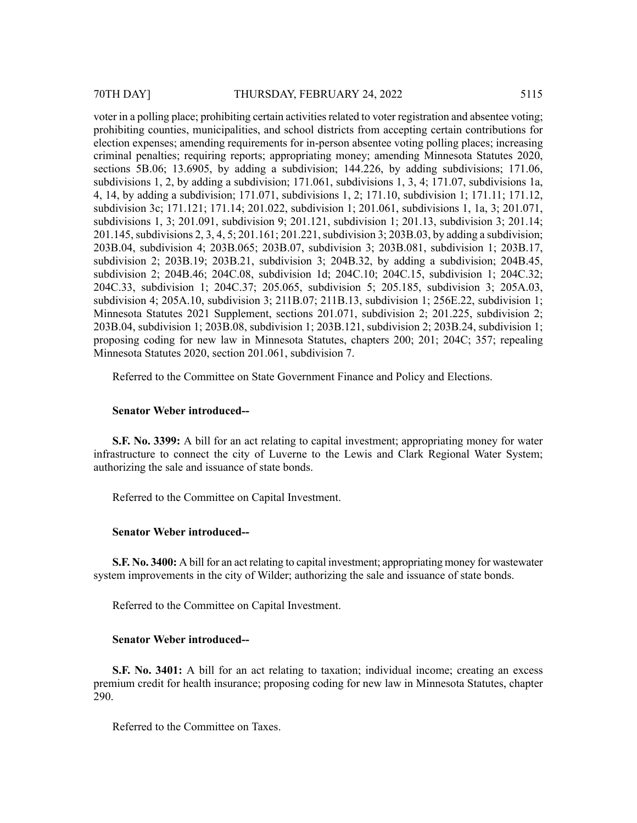voter in a polling place; prohibiting certain activities related to voter registration and absentee voting; prohibiting counties, municipalities, and school districts from accepting certain contributions for election expenses; amending requirements for in-person absentee voting polling places; increasing criminal penalties; requiring reports; appropriating money; amending Minnesota Statutes 2020, sections 5B.06; 13.6905, by adding a subdivision; 144.226, by adding subdivisions; 171.06, subdivisions 1, 2, by adding a subdivision; 171.061, subdivisions 1, 3, 4; 171.07, subdivisions 1a, 4, 14, by adding a subdivision; 171.071, subdivisions 1, 2; 171.10, subdivision 1; 171.11; 171.12, subdivision 3c; 171.121; 171.14; 201.022, subdivision 1; 201.061, subdivisions 1, 1a, 3; 201.071, subdivisions 1, 3; 201.091, subdivision 9; 201.121, subdivision 1; 201.13, subdivision 3; 201.14; 201.145, subdivisions 2, 3, 4, 5; 201.161; 201.221, subdivision 3; 203B.03, by adding a subdivision; 203B.04, subdivision 4; 203B.065; 203B.07, subdivision 3; 203B.081, subdivision 1; 203B.17, subdivision 2; 203B.19; 203B.21, subdivision 3; 204B.32, by adding a subdivision; 204B.45, subdivision 2; 204B.46; 204C.08, subdivision 1d; 204C.10; 204C.15, subdivision 1; 204C.32; 204C.33, subdivision 1; 204C.37; 205.065, subdivision 5; 205.185, subdivision 3; 205A.03, subdivision 4; 205A.10, subdivision 3; 211B.07; 211B.13, subdivision 1; 256E.22, subdivision 1; Minnesota Statutes 2021 Supplement, sections 201.071, subdivision 2; 201.225, subdivision 2; 203B.04, subdivision 1; 203B.08, subdivision 1; 203B.121, subdivision 2; 203B.24, subdivision 1; proposing coding for new law in Minnesota Statutes, chapters 200; 201; 204C; 357; repealing Minnesota Statutes 2020, section 201.061, subdivision 7.

Referred to the Committee on State Government Finance and Policy and Elections.

#### **Senator Weber introduced--**

**S.F. No. 3399:** A bill for an act relating to capital investment; appropriating money for water infrastructure to connect the city of Luverne to the Lewis and Clark Regional Water System; authorizing the sale and issuance of state bonds.

Referred to the Committee on Capital Investment.

# **Senator Weber introduced--**

**S.F. No. 3400:** A bill for an act relating to capital investment; appropriating money for wastewater system improvements in the city of Wilder; authorizing the sale and issuance of state bonds.

Referred to the Committee on Capital Investment.

# **Senator Weber introduced--**

**S.F. No. 3401:** A bill for an act relating to taxation; individual income; creating an excess premium credit for health insurance; proposing coding for new law in Minnesota Statutes, chapter 290.

Referred to the Committee on Taxes.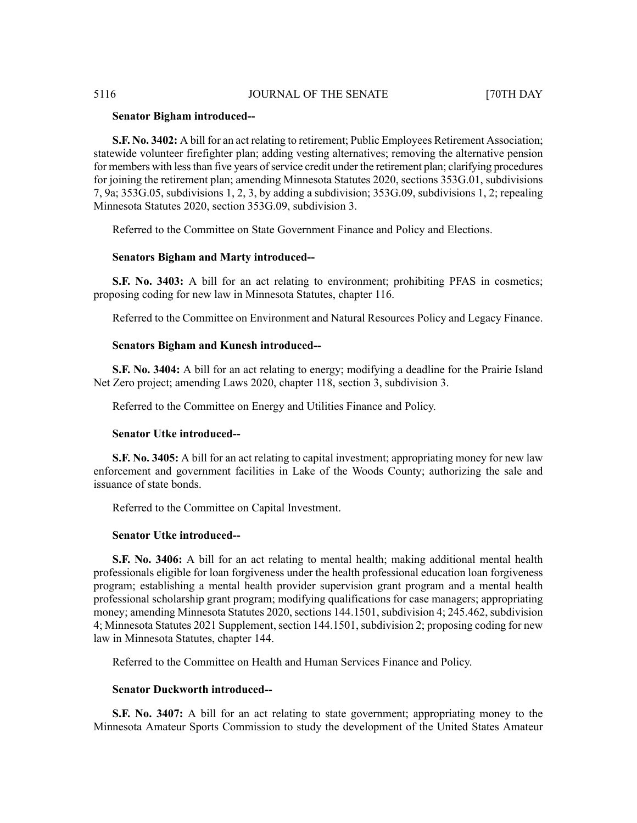#### **Senator Bigham introduced--**

**S.F. No. 3402:** A bill for an act relating to retirement; Public Employees Retirement Association; statewide volunteer firefighter plan; adding vesting alternatives; removing the alternative pension for members with less than five years of service credit under the retirement plan; clarifying procedures for joining the retirement plan; amending Minnesota Statutes 2020, sections 353G.01, subdivisions 7, 9a; 353G.05, subdivisions 1, 2, 3, by adding a subdivision; 353G.09, subdivisions 1, 2; repealing Minnesota Statutes 2020, section 353G.09, subdivision 3.

Referred to the Committee on State Government Finance and Policy and Elections.

### **Senators Bigham and Marty introduced--**

**S.F. No. 3403:** A bill for an act relating to environment; prohibiting PFAS in cosmetics; proposing coding for new law in Minnesota Statutes, chapter 116.

Referred to the Committee on Environment and Natural Resources Policy and Legacy Finance.

#### **Senators Bigham and Kunesh introduced--**

**S.F. No. 3404:** A bill for an act relating to energy; modifying a deadline for the Prairie Island Net Zero project; amending Laws 2020, chapter 118, section 3, subdivision 3.

Referred to the Committee on Energy and Utilities Finance and Policy.

### **Senator Utke introduced--**

**S.F. No. 3405:** A bill for an act relating to capital investment; appropriating money for new law enforcement and government facilities in Lake of the Woods County; authorizing the sale and issuance of state bonds.

Referred to the Committee on Capital Investment.

#### **Senator Utke introduced--**

**S.F. No. 3406:** A bill for an act relating to mental health; making additional mental health professionals eligible for loan forgiveness under the health professional education loan forgiveness program; establishing a mental health provider supervision grant program and a mental health professional scholarship grant program; modifying qualifications for case managers; appropriating money; amending Minnesota Statutes 2020, sections 144.1501, subdivision 4; 245.462, subdivision 4; Minnesota Statutes 2021 Supplement, section 144.1501, subdivision 2; proposing coding for new law in Minnesota Statutes, chapter 144.

Referred to the Committee on Health and Human Services Finance and Policy.

# **Senator Duckworth introduced--**

**S.F. No. 3407:** A bill for an act relating to state government; appropriating money to the Minnesota Amateur Sports Commission to study the development of the United States Amateur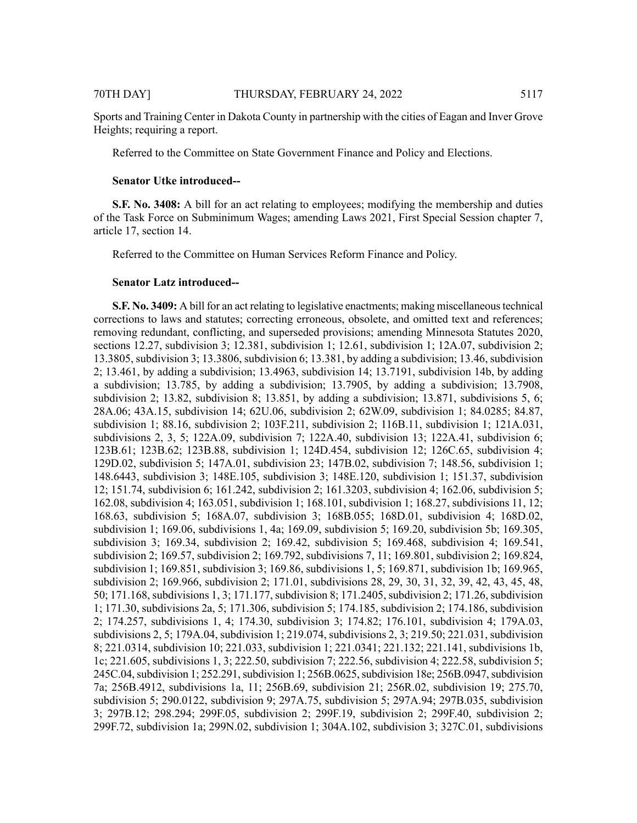Sports and Training Center in Dakota County in partnership with the cities of Eagan and Inver Grove Heights; requiring a report.

Referred to the Committee on State Government Finance and Policy and Elections.

#### **Senator Utke introduced--**

**S.F. No. 3408:** A bill for an act relating to employees; modifying the membership and duties of the Task Force on Subminimum Wages; amending Laws 2021, First Special Session chapter 7, article 17, section 14.

Referred to the Committee on Human Services Reform Finance and Policy.

#### **Senator Latz introduced--**

**S.F. No. 3409:** A bill for an act relating to legislative enactments; making miscellaneous technical corrections to laws and statutes; correcting erroneous, obsolete, and omitted text and references; removing redundant, conflicting, and superseded provisions; amending Minnesota Statutes 2020, sections 12.27, subdivision 3; 12.381, subdivision 1; 12.61, subdivision 1; 12A.07, subdivision 2; 13.3805, subdivision 3; 13.3806, subdivision 6; 13.381, by adding a subdivision; 13.46, subdivision 2; 13.461, by adding a subdivision; 13.4963, subdivision 14; 13.7191, subdivision 14b, by adding a subdivision; 13.785, by adding a subdivision; 13.7905, by adding a subdivision; 13.7908, subdivision 2; 13.82, subdivision 8; 13.851, by adding a subdivision; 13.871, subdivisions 5, 6; 28A.06; 43A.15, subdivision 14; 62U.06, subdivision 2; 62W.09, subdivision 1; 84.0285; 84.87, subdivision 1; 88.16, subdivision 2; 103F.211, subdivision 2; 116B.11, subdivision 1; 121A.031, subdivisions 2, 3, 5; 122A.09, subdivision 7; 122A.40, subdivision 13; 122A.41, subdivision 6; 123B.61; 123B.62; 123B.88, subdivision 1; 124D.454, subdivision 12; 126C.65, subdivision 4; 129D.02, subdivision 5; 147A.01, subdivision 23; 147B.02, subdivision 7; 148.56, subdivision 1; 148.6443, subdivision 3; 148E.105, subdivision 3; 148E.120, subdivision 1; 151.37, subdivision 12; 151.74, subdivision 6; 161.242, subdivision 2; 161.3203, subdivision 4; 162.06, subdivision 5; 162.08, subdivision 4; 163.051, subdivision 1; 168.101, subdivision 1; 168.27, subdivisions 11, 12; 168.63, subdivision 5; 168A.07, subdivision 3; 168B.055; 168D.01, subdivision 4; 168D.02, subdivision 1; 169.06, subdivisions 1, 4a; 169.09, subdivision 5; 169.20, subdivision 5b; 169.305, subdivision 3; 169.34, subdivision 2; 169.42, subdivision 5; 169.468, subdivision 4; 169.541, subdivision 2; 169.57, subdivision 2; 169.792, subdivisions 7, 11; 169.801, subdivision 2; 169.824, subdivision 1; 169.851, subdivision 3; 169.86, subdivisions 1, 5; 169.871, subdivision 1b; 169.965, subdivision 2; 169.966, subdivision 2; 171.01, subdivisions 28, 29, 30, 31, 32, 39, 42, 43, 45, 48, 50; 171.168, subdivisions 1, 3; 171.177, subdivision 8; 171.2405, subdivision 2; 171.26, subdivision 1; 171.30, subdivisions 2a, 5; 171.306, subdivision 5; 174.185, subdivision 2; 174.186, subdivision 2; 174.257, subdivisions 1, 4; 174.30, subdivision 3; 174.82; 176.101, subdivision 4; 179A.03, subdivisions 2, 5; 179A.04, subdivision 1; 219.074, subdivisions 2, 3; 219.50; 221.031, subdivision 8; 221.0314, subdivision 10; 221.033, subdivision 1; 221.0341; 221.132; 221.141, subdivisions 1b, 1c; 221.605, subdivisions 1, 3; 222.50, subdivision 7; 222.56, subdivision 4; 222.58, subdivision 5; 245C.04, subdivision 1; 252.291, subdivision 1; 256B.0625, subdivision 18e; 256B.0947, subdivision 7a; 256B.4912, subdivisions 1a, 11; 256B.69, subdivision 21; 256R.02, subdivision 19; 275.70, subdivision 5; 290.0122, subdivision 9; 297A.75, subdivision 5; 297A.94; 297B.035, subdivision 3; 297B.12; 298.294; 299F.05, subdivision 2; 299F.19, subdivision 2; 299F.40, subdivision 2; 299F.72, subdivision 1a; 299N.02, subdivision 1; 304A.102, subdivision 3; 327C.01, subdivisions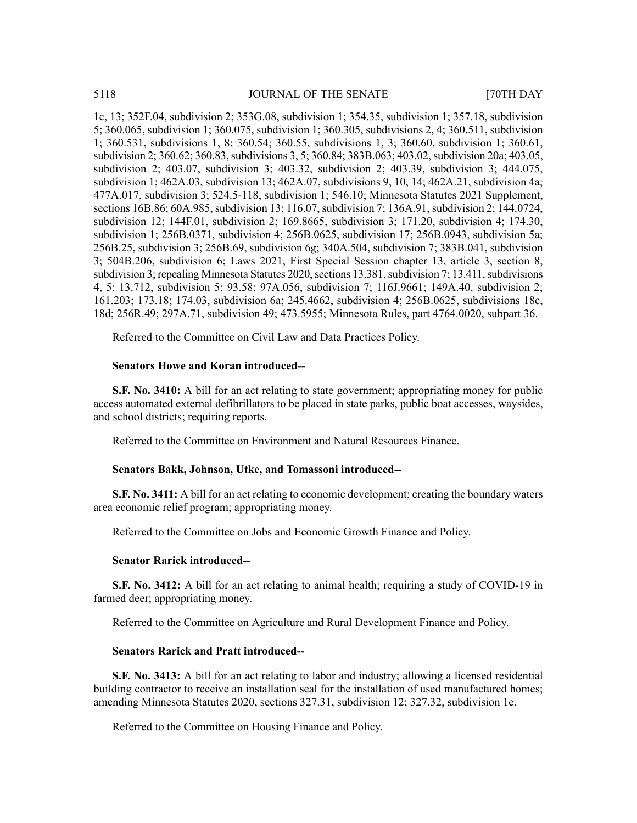1c, 13; 352F.04, subdivision 2; 353G.08, subdivision 1; 354.35, subdivision 1; 357.18, subdivision 5; 360.065, subdivision 1; 360.075, subdivision 1; 360.305, subdivisions 2, 4; 360.511, subdivision 1; 360.531, subdivisions 1, 8; 360.54; 360.55, subdivisions 1, 3; 360.60, subdivision 1; 360.61, subdivision 2; 360.62; 360.83, subdivisions 3, 5; 360.84; 383B.063; 403.02, subdivision 20a; 403.05, subdivision 2; 403.07, subdivision 3; 403.32, subdivision 2; 403.39, subdivision 3; 444.075, subdivision 1; 462A.03, subdivision 13; 462A.07, subdivisions 9, 10, 14; 462A.21, subdivision 4a; 477A.017, subdivision 3; 524.5-118, subdivision 1; 546.10; Minnesota Statutes 2021 Supplement, sections 16B.86; 60A.985, subdivision 13; 116.07, subdivision 7; 136A.91, subdivision 2; 144.0724, subdivision 12; 144F.01, subdivision 2; 169.8665, subdivision 3; 171.20, subdivision 4; 174.30, subdivision 1; 256B.0371, subdivision 4; 256B.0625, subdivision 17; 256B.0943, subdivision 5a; 256B.25, subdivision 3; 256B.69, subdivision 6g; 340A.504, subdivision 7; 383B.041, subdivision 3; 504B.206, subdivision 6; Laws 2021, First Special Session chapter 13, article 3, section 8, subdivision 3; repealing Minnesota Statutes 2020, sections 13.381, subdivision 7; 13.411, subdivisions 4, 5; 13.712, subdivision 5; 93.58; 97A.056, subdivision 7; 116J.9661; 149A.40, subdivision 2; 161.203; 173.18; 174.03, subdivision 6a; 245.4662, subdivision 4; 256B.0625, subdivisions 18c, 18d; 256R.49; 297A.71, subdivision 49; 473.5955; Minnesota Rules, part 4764.0020, subpart 36.

Referred to the Committee on Civil Law and Data Practices Policy.

# **Senators Howe and Koran introduced--**

**S.F. No. 3410:** A bill for an act relating to state government; appropriating money for public access automated external defibrillators to be placed in state parks, public boat accesses, waysides, and school districts; requiring reports.

Referred to the Committee on Environment and Natural Resources Finance.

#### **Senators Bakk, Johnson, Utke, and Tomassoni introduced--**

**S.F. No. 3411:** A bill for an act relating to economic development; creating the boundary waters area economic relief program; appropriating money.

Referred to the Committee on Jobs and Economic Growth Finance and Policy.

### **Senator Rarick introduced--**

**S.F. No. 3412:** A bill for an act relating to animal health; requiring a study of COVID-19 in farmed deer; appropriating money.

Referred to the Committee on Agriculture and Rural Development Finance and Policy.

# **Senators Rarick and Pratt introduced--**

**S.F. No. 3413:** A bill for an act relating to labor and industry; allowing a licensed residential building contractor to receive an installation seal for the installation of used manufactured homes; amending Minnesota Statutes 2020, sections 327.31, subdivision 12; 327.32, subdivision 1e.

Referred to the Committee on Housing Finance and Policy.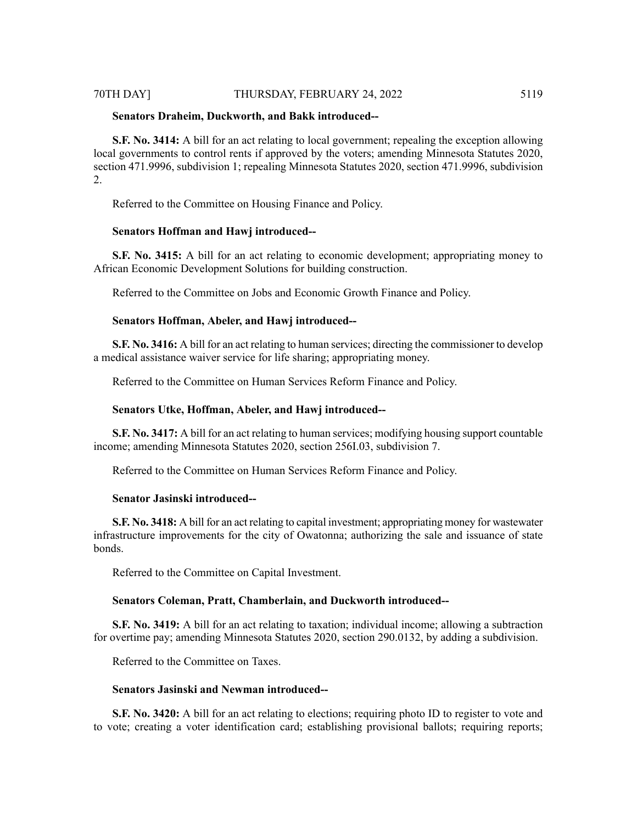# 70TH DAY] THURSDAY, FEBRUARY 24, 2022 5119

### **Senators Draheim, Duckworth, and Bakk introduced--**

**S.F. No. 3414:** A bill for an act relating to local government; repealing the exception allowing local governments to control rents if approved by the voters; amending Minnesota Statutes 2020, section 471.9996, subdivision 1; repealing Minnesota Statutes 2020, section 471.9996, subdivision 2.

Referred to the Committee on Housing Finance and Policy.

### **Senators Hoffman and Hawj introduced--**

**S.F. No. 3415:** A bill for an act relating to economic development; appropriating money to African Economic Development Solutions for building construction.

Referred to the Committee on Jobs and Economic Growth Finance and Policy.

### **Senators Hoffman, Abeler, and Hawj introduced--**

**S.F. No. 3416:** A bill for an act relating to human services; directing the commissioner to develop a medical assistance waiver service for life sharing; appropriating money.

Referred to the Committee on Human Services Reform Finance and Policy.

#### **Senators Utke, Hoffman, Abeler, and Hawj introduced--**

**S.F. No. 3417:** A bill for an act relating to human services; modifying housing support countable income; amending Minnesota Statutes 2020, section 256I.03, subdivision 7.

Referred to the Committee on Human Services Reform Finance and Policy.

# **Senator Jasinski introduced--**

**S.F. No. 3418:** A bill for an act relating to capital investment; appropriating money for wastewater infrastructure improvements for the city of Owatonna; authorizing the sale and issuance of state bonds.

Referred to the Committee on Capital Investment.

#### **Senators Coleman, Pratt, Chamberlain, and Duckworth introduced--**

**S.F. No. 3419:** A bill for an act relating to taxation; individual income; allowing a subtraction for overtime pay; amending Minnesota Statutes 2020, section 290.0132, by adding a subdivision.

Referred to the Committee on Taxes.

#### **Senators Jasinski and Newman introduced--**

**S.F. No. 3420:** A bill for an act relating to elections; requiring photo ID to register to vote and to vote; creating a voter identification card; establishing provisional ballots; requiring reports;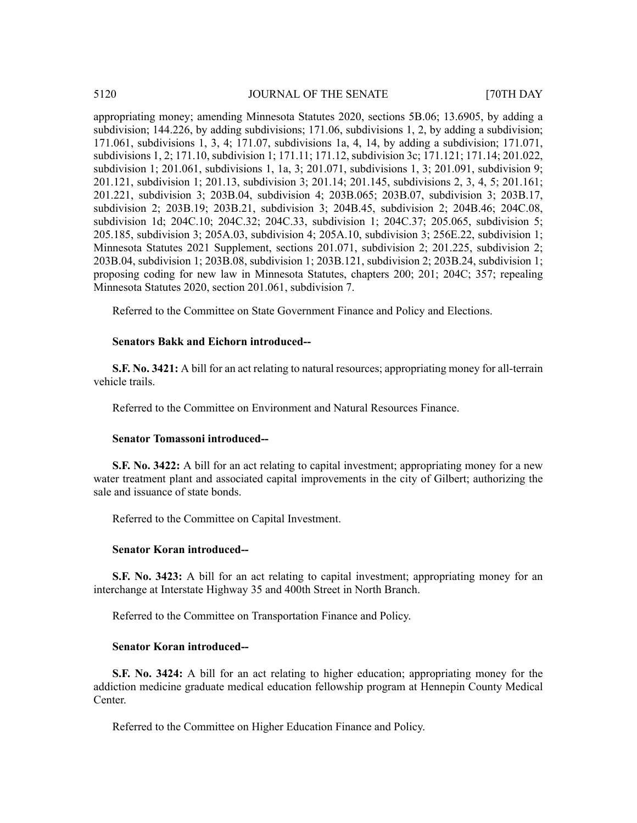appropriating money; amending Minnesota Statutes 2020, sections 5B.06; 13.6905, by adding a subdivision; 144.226, by adding subdivisions; 171.06, subdivisions 1, 2, by adding a subdivision; 171.061, subdivisions 1, 3, 4; 171.07, subdivisions 1a, 4, 14, by adding a subdivision; 171.071, subdivisions 1, 2; 171.10, subdivision 1; 171.11; 171.12, subdivision 3c; 171.121; 171.14; 201.022, subdivision 1; 201.061, subdivisions 1, 1a, 3; 201.071, subdivisions 1, 3; 201.091, subdivision 9; 201.121, subdivision 1; 201.13, subdivision 3; 201.14; 201.145, subdivisions 2, 3, 4, 5; 201.161; 201.221, subdivision 3; 203B.04, subdivision 4; 203B.065; 203B.07, subdivision 3; 203B.17, subdivision 2; 203B.19; 203B.21, subdivision 3; 204B.45, subdivision 2; 204B.46; 204C.08, subdivision 1d; 204C.10; 204C.32; 204C.33, subdivision 1; 204C.37; 205.065, subdivision 5; 205.185, subdivision 3; 205A.03, subdivision 4; 205A.10, subdivision 3; 256E.22, subdivision 1; Minnesota Statutes 2021 Supplement, sections 201.071, subdivision 2; 201.225, subdivision 2; 203B.04, subdivision 1; 203B.08, subdivision 1; 203B.121, subdivision 2; 203B.24, subdivision 1; proposing coding for new law in Minnesota Statutes, chapters 200; 201; 204C; 357; repealing Minnesota Statutes 2020, section 201.061, subdivision 7.

Referred to the Committee on State Government Finance and Policy and Elections.

# **Senators Bakk and Eichorn introduced--**

**S.F. No. 3421:** A bill for an act relating to natural resources; appropriating money for all-terrain vehicle trails.

Referred to the Committee on Environment and Natural Resources Finance.

#### **Senator Tomassoni introduced--**

**S.F. No. 3422:** A bill for an act relating to capital investment; appropriating money for a new water treatment plant and associated capital improvements in the city of Gilbert; authorizing the sale and issuance of state bonds.

Referred to the Committee on Capital Investment.

### **Senator Koran introduced--**

**S.F. No. 3423:** A bill for an act relating to capital investment; appropriating money for an interchange at Interstate Highway 35 and 400th Street in North Branch.

Referred to the Committee on Transportation Finance and Policy.

#### **Senator Koran introduced--**

**S.F. No. 3424:** A bill for an act relating to higher education; appropriating money for the addiction medicine graduate medical education fellowship program at Hennepin County Medical Center.

Referred to the Committee on Higher Education Finance and Policy.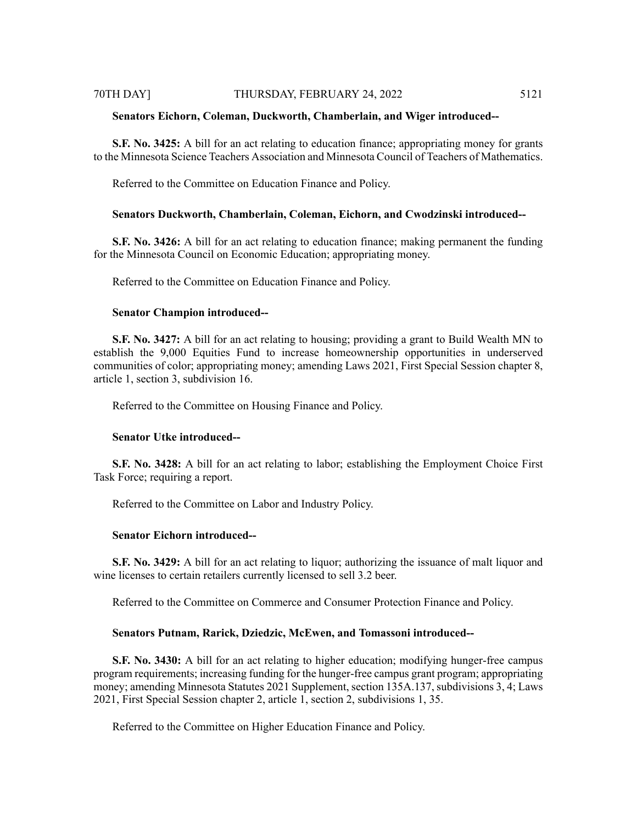#### 70TH DAY] THURSDAY, FEBRUARY 24, 2022 5121

#### **Senators Eichorn, Coleman, Duckworth, Chamberlain, and Wiger introduced--**

**S.F. No. 3425:** A bill for an act relating to education finance; appropriating money for grants to the Minnesota Science Teachers Association and Minnesota Council of Teachers of Mathematics.

Referred to the Committee on Education Finance and Policy.

### **Senators Duckworth, Chamberlain, Coleman, Eichorn, and Cwodzinski introduced--**

**S.F. No. 3426:** A bill for an act relating to education finance; making permanent the funding for the Minnesota Council on Economic Education; appropriating money.

Referred to the Committee on Education Finance and Policy.

#### **Senator Champion introduced--**

**S.F. No. 3427:** A bill for an act relating to housing; providing a grant to Build Wealth MN to establish the 9,000 Equities Fund to increase homeownership opportunities in underserved communities of color; appropriating money; amending Laws 2021, First Special Session chapter 8, article 1, section 3, subdivision 16.

Referred to the Committee on Housing Finance and Policy.

#### **Senator Utke introduced--**

**S.F. No. 3428:** A bill for an act relating to labor; establishing the Employment Choice First Task Force; requiring a report.

Referred to the Committee on Labor and Industry Policy.

#### **Senator Eichorn introduced--**

**S.F. No. 3429:** A bill for an act relating to liquor; authorizing the issuance of malt liquor and wine licenses to certain retailers currently licensed to sell 3.2 beer.

Referred to the Committee on Commerce and Consumer Protection Finance and Policy.

#### **Senators Putnam, Rarick, Dziedzic, McEwen, and Tomassoni introduced--**

**S.F. No. 3430:** A bill for an act relating to higher education; modifying hunger-free campus program requirements; increasing funding for the hunger-free campus grant program; appropriating money; amending Minnesota Statutes 2021 Supplement, section 135A.137, subdivisions 3, 4; Laws 2021, First Special Session chapter 2, article 1, section 2, subdivisions 1, 35.

Referred to the Committee on Higher Education Finance and Policy.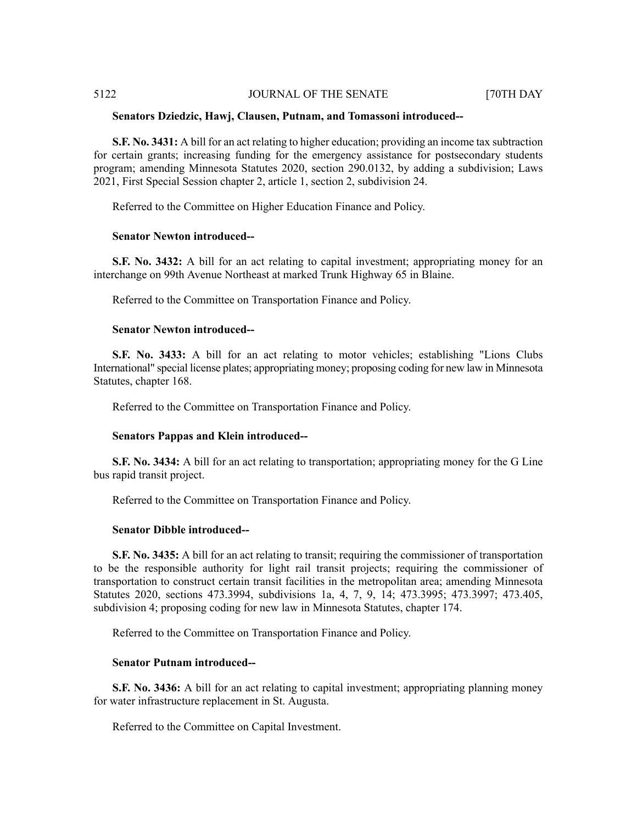#### **Senators Dziedzic, Hawj, Clausen, Putnam, and Tomassoni introduced--**

**S.F. No. 3431:** A bill for an act relating to higher education; providing an income tax subtraction for certain grants; increasing funding for the emergency assistance for postsecondary students program; amending Minnesota Statutes 2020, section 290.0132, by adding a subdivision; Laws 2021, First Special Session chapter 2, article 1, section 2, subdivision 24.

Referred to the Committee on Higher Education Finance and Policy.

#### **Senator Newton introduced--**

**S.F. No. 3432:** A bill for an act relating to capital investment; appropriating money for an interchange on 99th Avenue Northeast at marked Trunk Highway 65 in Blaine.

Referred to the Committee on Transportation Finance and Policy.

#### **Senator Newton introduced--**

**S.F. No. 3433:** A bill for an act relating to motor vehicles; establishing "Lions Clubs International" special license plates; appropriating money; proposing coding for new law in Minnesota Statutes, chapter 168.

Referred to the Committee on Transportation Finance and Policy.

# **Senators Pappas and Klein introduced--**

**S.F. No. 3434:** A bill for an act relating to transportation; appropriating money for the G Line bus rapid transit project.

Referred to the Committee on Transportation Finance and Policy.

#### **Senator Dibble introduced--**

**S.F. No. 3435:** A bill for an act relating to transit; requiring the commissioner of transportation to be the responsible authority for light rail transit projects; requiring the commissioner of transportation to construct certain transit facilities in the metropolitan area; amending Minnesota Statutes 2020, sections 473.3994, subdivisions 1a, 4, 7, 9, 14; 473.3995; 473.3997; 473.405, subdivision 4; proposing coding for new law in Minnesota Statutes, chapter 174.

Referred to the Committee on Transportation Finance and Policy.

# **Senator Putnam introduced--**

**S.F. No. 3436:** A bill for an act relating to capital investment; appropriating planning money for water infrastructure replacement in St. Augusta.

Referred to the Committee on Capital Investment.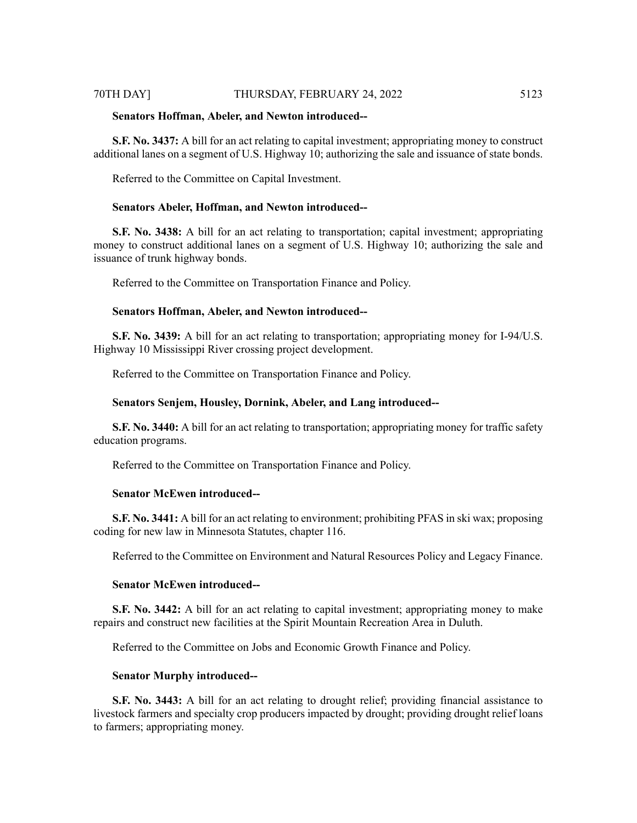# 70TH DAY] THURSDAY, FEBRUARY 24, 2022 5123

#### **Senators Hoffman, Abeler, and Newton introduced--**

**S.F. No. 3437:** A bill for an act relating to capital investment; appropriating money to construct additional lanes on a segment of U.S. Highway 10; authorizing the sale and issuance of state bonds.

Referred to the Committee on Capital Investment.

#### **Senators Abeler, Hoffman, and Newton introduced--**

**S.F. No. 3438:** A bill for an act relating to transportation; capital investment; appropriating money to construct additional lanes on a segment of U.S. Highway 10; authorizing the sale and issuance of trunk highway bonds.

Referred to the Committee on Transportation Finance and Policy.

### **Senators Hoffman, Abeler, and Newton introduced--**

**S.F. No. 3439:** A bill for an act relating to transportation; appropriating money for I-94/U.S. Highway 10 Mississippi River crossing project development.

Referred to the Committee on Transportation Finance and Policy.

### **Senators Senjem, Housley, Dornink, Abeler, and Lang introduced--**

**S.F. No. 3440:** A bill for an act relating to transportation; appropriating money for traffic safety education programs.

Referred to the Committee on Transportation Finance and Policy.

# **Senator McEwen introduced--**

**S.F. No. 3441:** A bill for an act relating to environment; prohibiting PFAS in ski wax; proposing coding for new law in Minnesota Statutes, chapter 116.

Referred to the Committee on Environment and Natural Resources Policy and Legacy Finance.

#### **Senator McEwen introduced--**

**S.F. No. 3442:** A bill for an act relating to capital investment; appropriating money to make repairs and construct new facilities at the Spirit Mountain Recreation Area in Duluth.

Referred to the Committee on Jobs and Economic Growth Finance and Policy.

#### **Senator Murphy introduced--**

**S.F. No. 3443:** A bill for an act relating to drought relief; providing financial assistance to livestock farmers and specialty crop producers impacted by drought; providing drought relief loans to farmers; appropriating money.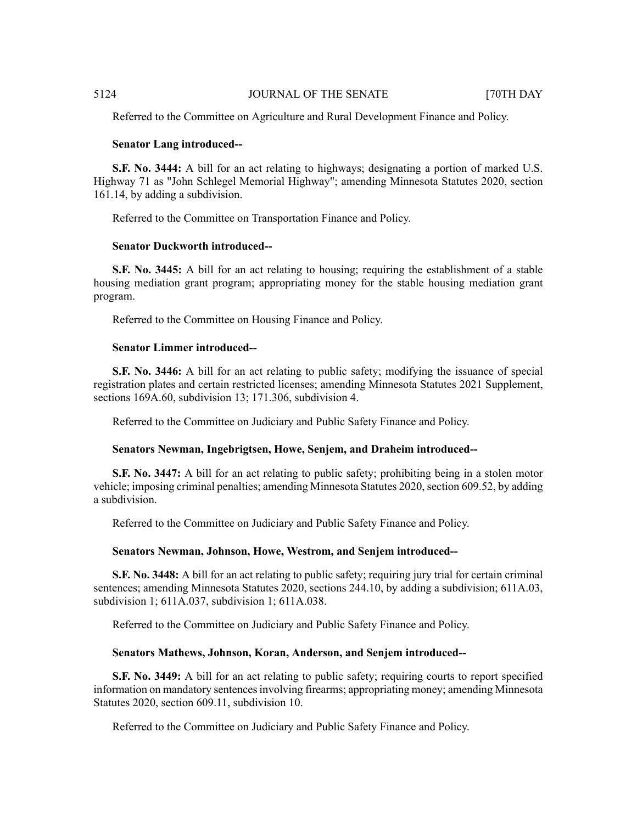Referred to the Committee on Agriculture and Rural Development Finance and Policy.

# **Senator Lang introduced--**

**S.F. No. 3444:** A bill for an act relating to highways; designating a portion of marked U.S. Highway 71 as "John Schlegel Memorial Highway"; amending Minnesota Statutes 2020, section 161.14, by adding a subdivision.

Referred to the Committee on Transportation Finance and Policy.

# **Senator Duckworth introduced--**

**S.F. No. 3445:** A bill for an act relating to housing; requiring the establishment of a stable housing mediation grant program; appropriating money for the stable housing mediation grant program.

Referred to the Committee on Housing Finance and Policy.

#### **Senator Limmer introduced--**

**S.F. No. 3446:** A bill for an act relating to public safety; modifying the issuance of special registration plates and certain restricted licenses; amending Minnesota Statutes 2021 Supplement, sections 169A.60, subdivision 13: 171.306, subdivision 4.

Referred to the Committee on Judiciary and Public Safety Finance and Policy.

#### **Senators Newman, Ingebrigtsen, Howe, Senjem, and Draheim introduced--**

**S.F. No. 3447:** A bill for an act relating to public safety; prohibiting being in a stolen motor vehicle; imposing criminal penalties; amending Minnesota Statutes 2020, section 609.52, by adding a subdivision.

Referred to the Committee on Judiciary and Public Safety Finance and Policy.

#### **Senators Newman, Johnson, Howe, Westrom, and Senjem introduced--**

**S.F. No. 3448:** A bill for an act relating to public safety; requiring jury trial for certain criminal sentences; amending Minnesota Statutes 2020, sections 244.10, by adding a subdivision; 611A.03, subdivision 1; 611A.037, subdivision 1; 611A.038.

Referred to the Committee on Judiciary and Public Safety Finance and Policy.

#### **Senators Mathews, Johnson, Koran, Anderson, and Senjem introduced--**

**S.F. No. 3449:** A bill for an act relating to public safety; requiring courts to report specified information on mandatory sentences involving firearms; appropriating money; amending Minnesota Statutes 2020, section 609.11, subdivision 10.

Referred to the Committee on Judiciary and Public Safety Finance and Policy.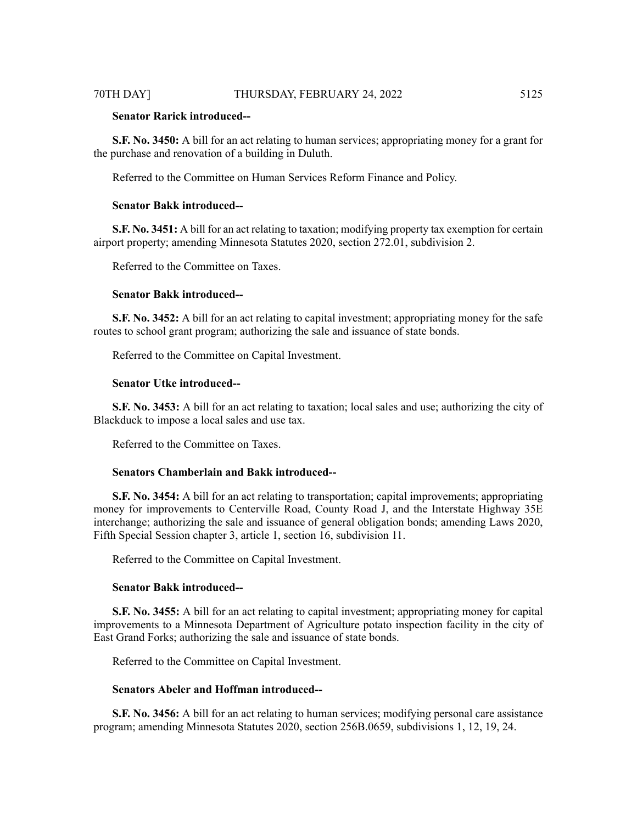# **Senator Rarick introduced--**

**S.F. No. 3450:** A bill for an act relating to human services; appropriating money for a grant for the purchase and renovation of a building in Duluth.

Referred to the Committee on Human Services Reform Finance and Policy.

# **Senator Bakk introduced--**

**S.F. No. 3451:** A bill for an act relating to taxation; modifying property tax exemption for certain airport property; amending Minnesota Statutes 2020, section 272.01, subdivision 2.

Referred to the Committee on Taxes.

#### **Senator Bakk introduced--**

**S.F. No. 3452:** A bill for an act relating to capital investment; appropriating money for the safe routes to school grant program; authorizing the sale and issuance of state bonds.

Referred to the Committee on Capital Investment.

# **Senator Utke introduced--**

**S.F. No. 3453:** A bill for an act relating to taxation; local sales and use; authorizing the city of Blackduck to impose a local sales and use tax.

Referred to the Committee on Taxes.

#### **Senators Chamberlain and Bakk introduced--**

**S.F. No. 3454:** A bill for an act relating to transportation; capital improvements; appropriating money for improvements to Centerville Road, County Road J, and the Interstate Highway 35E interchange; authorizing the sale and issuance of general obligation bonds; amending Laws 2020, Fifth Special Session chapter 3, article 1, section 16, subdivision 11.

Referred to the Committee on Capital Investment.

#### **Senator Bakk introduced--**

**S.F. No. 3455:** A bill for an act relating to capital investment; appropriating money for capital improvements to a Minnesota Department of Agriculture potato inspection facility in the city of East Grand Forks; authorizing the sale and issuance of state bonds.

Referred to the Committee on Capital Investment.

#### **Senators Abeler and Hoffman introduced--**

**S.F. No. 3456:** A bill for an act relating to human services; modifying personal care assistance program; amending Minnesota Statutes 2020, section 256B.0659, subdivisions 1, 12, 19, 24.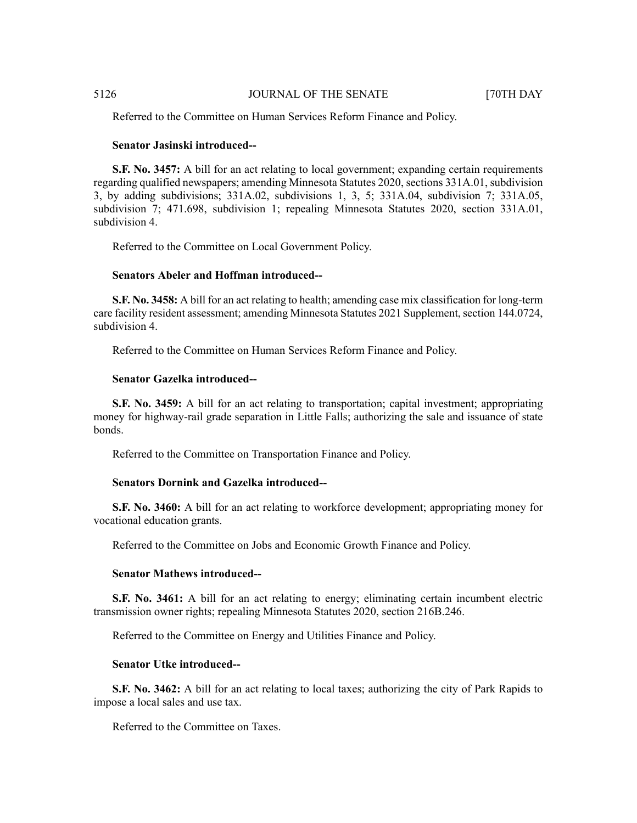Referred to the Committee on Human Services Reform Finance and Policy.

# **Senator Jasinski introduced--**

**S.F. No. 3457:** A bill for an act relating to local government; expanding certain requirements regarding qualified newspapers; amending Minnesota Statutes 2020, sections 331A.01, subdivision 3, by adding subdivisions; 331A.02, subdivisions 1, 3, 5; 331A.04, subdivision 7; 331A.05, subdivision 7; 471.698, subdivision 1; repealing Minnesota Statutes 2020, section 331A.01, subdivision 4.

Referred to the Committee on Local Government Policy.

## **Senators Abeler and Hoffman introduced--**

**S.F. No. 3458:** A bill for an act relating to health; amending case mix classification for long-term care facility resident assessment; amending Minnesota Statutes 2021 Supplement, section 144.0724, subdivision 4.

Referred to the Committee on Human Services Reform Finance and Policy.

# **Senator Gazelka introduced--**

**S.F. No. 3459:** A bill for an act relating to transportation; capital investment; appropriating money for highway-rail grade separation in Little Falls; authorizing the sale and issuance of state bonds.

Referred to the Committee on Transportation Finance and Policy.

#### **Senators Dornink and Gazelka introduced--**

**S.F. No. 3460:** A bill for an act relating to workforce development; appropriating money for vocational education grants.

Referred to the Committee on Jobs and Economic Growth Finance and Policy.

#### **Senator Mathews introduced--**

**S.F. No. 3461:** A bill for an act relating to energy; eliminating certain incumbent electric transmission owner rights; repealing Minnesota Statutes 2020, section 216B.246.

Referred to the Committee on Energy and Utilities Finance and Policy.

# **Senator Utke introduced--**

**S.F. No. 3462:** A bill for an act relating to local taxes; authorizing the city of Park Rapids to impose a local sales and use tax.

Referred to the Committee on Taxes.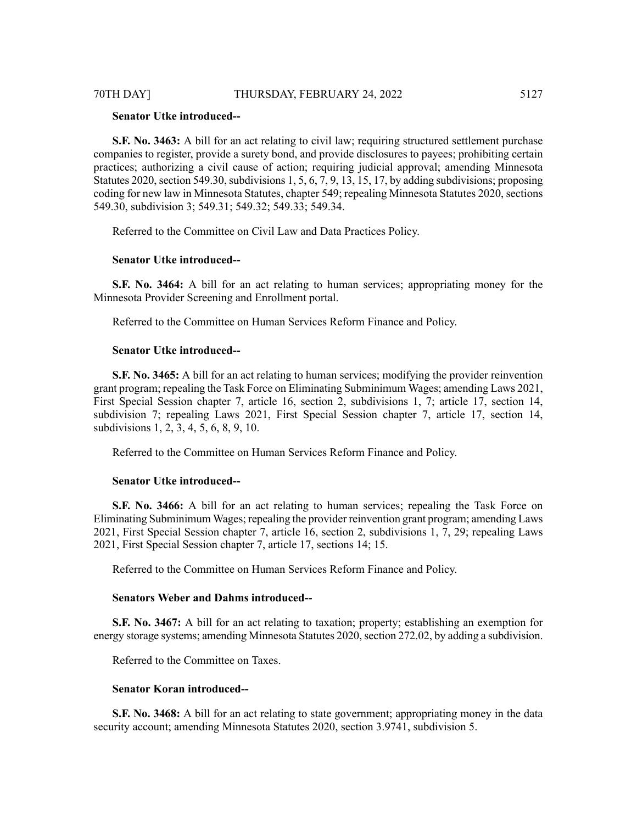# 70TH DAY] THURSDAY, FEBRUARY 24, 2022 5127

# **Senator Utke introduced--**

**S.F.** No. 3463: A bill for an act relating to civil law; requiring structured settlement purchase companies to register, provide a surety bond, and provide disclosures to payees; prohibiting certain practices; authorizing a civil cause of action; requiring judicial approval; amending Minnesota Statutes 2020, section 549.30, subdivisions  $1, 5, 6, 7, 9, 13, 15, 17$ , by adding subdivisions; proposing coding for new law in Minnesota Statutes, chapter 549; repealing Minnesota Statutes 2020, sections 549.30, subdivision 3; 549.31; 549.32; 549.33; 549.34.

Referred to the Committee on Civil Law and Data Practices Policy.

#### **Senator Utke introduced--**

**S.F. No. 3464:** A bill for an act relating to human services; appropriating money for the Minnesota Provider Screening and Enrollment portal.

Referred to the Committee on Human Services Reform Finance and Policy.

#### **Senator Utke introduced--**

**S.F. No. 3465:** A bill for an act relating to human services; modifying the provider reinvention grant program; repealing the Task Force on Eliminating Subminimum Wages; amending Laws 2021, First Special Session chapter 7, article 16, section 2, subdivisions 1, 7; article 17, section 14, subdivision 7; repealing Laws 2021, First Special Session chapter 7, article 17, section 14, subdivisions 1, 2, 3, 4, 5, 6, 8, 9, 10.

Referred to the Committee on Human Services Reform Finance and Policy.

# **Senator Utke introduced--**

**S.F. No. 3466:** A bill for an act relating to human services; repealing the Task Force on Eliminating Subminimum Wages; repealing the provider reinvention grant program; amending Laws 2021, First Special Session chapter 7, article 16, section 2, subdivisions 1, 7, 29; repealing Laws 2021, First Special Session chapter 7, article 17, sections 14; 15.

Referred to the Committee on Human Services Reform Finance and Policy.

# **Senators Weber and Dahms introduced--**

**S.F. No. 3467:** A bill for an act relating to taxation; property; establishing an exemption for energy storage systems; amending Minnesota Statutes 2020, section 272.02, by adding a subdivision.

Referred to the Committee on Taxes.

### **Senator Koran introduced--**

**S.F. No. 3468:** A bill for an act relating to state government; appropriating money in the data security account; amending Minnesota Statutes 2020, section 3.9741, subdivision 5.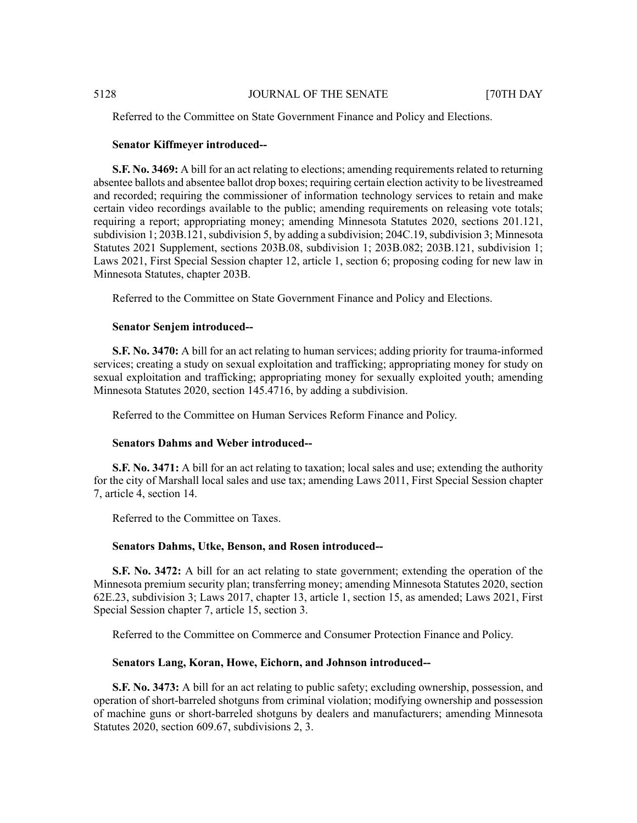Referred to the Committee on State Government Finance and Policy and Elections.

# **Senator Kiffmeyer introduced--**

**S.F. No. 3469:** A bill for an act relating to elections; amending requirements related to returning absentee ballots and absentee ballot drop boxes; requiring certain election activity to be livestreamed and recorded; requiring the commissioner of information technology services to retain and make certain video recordings available to the public; amending requirements on releasing vote totals; requiring a report; appropriating money; amending Minnesota Statutes 2020, sections 201.121, subdivision 1; 203B.121, subdivision 5, by adding a subdivision; 204C.19, subdivision 3; Minnesota Statutes 2021 Supplement, sections 203B.08, subdivision 1; 203B.082; 203B.121, subdivision 1; Laws 2021, First Special Session chapter 12, article 1, section 6; proposing coding for new law in Minnesota Statutes, chapter 203B.

Referred to the Committee on State Government Finance and Policy and Elections.

### **Senator Senjem introduced--**

**S.F. No. 3470:** A bill for an act relating to human services; adding priority for trauma-informed services; creating a study on sexual exploitation and trafficking; appropriating money for study on sexual exploitation and trafficking; appropriating money for sexually exploited youth; amending Minnesota Statutes 2020, section 145.4716, by adding a subdivision.

Referred to the Committee on Human Services Reform Finance and Policy.

# **Senators Dahms and Weber introduced--**

**S.F. No. 3471:** A bill for an act relating to taxation; local sales and use; extending the authority for the city of Marshall local sales and use tax; amending Laws 2011, First Special Session chapter 7, article 4, section 14.

Referred to the Committee on Taxes.

# **Senators Dahms, Utke, Benson, and Rosen introduced--**

**S.F. No. 3472:** A bill for an act relating to state government; extending the operation of the Minnesota premium security plan; transferring money; amending Minnesota Statutes 2020, section 62E.23, subdivision 3; Laws 2017, chapter 13, article 1, section 15, as amended; Laws 2021, First Special Session chapter 7, article 15, section 3.

Referred to the Committee on Commerce and Consumer Protection Finance and Policy.

### **Senators Lang, Koran, Howe, Eichorn, and Johnson introduced--**

**S.F. No. 3473:** A bill for an act relating to public safety; excluding ownership, possession, and operation of short-barreled shotguns from criminal violation; modifying ownership and possession of machine guns or short-barreled shotguns by dealers and manufacturers; amending Minnesota Statutes 2020, section 609.67, subdivisions 2, 3.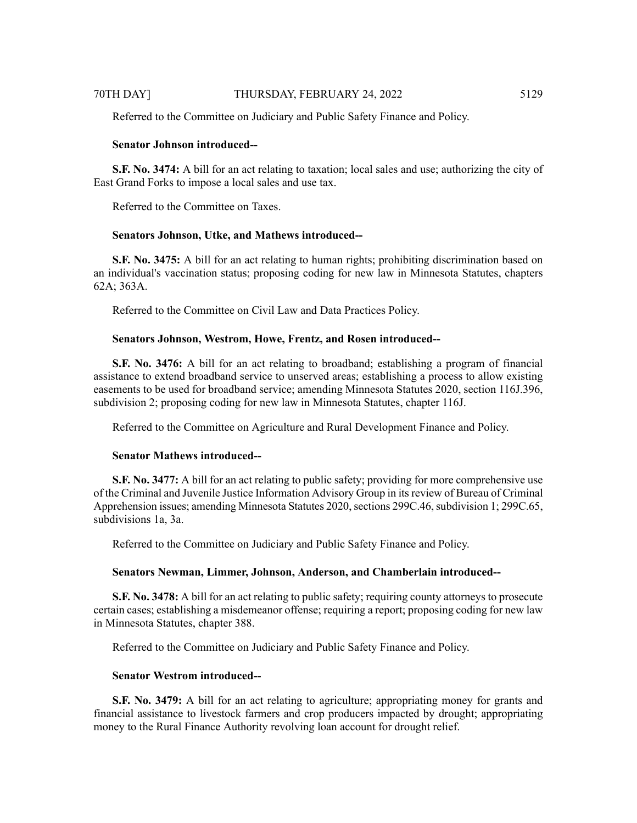Referred to the Committee on Judiciary and Public Safety Finance and Policy.

# **Senator Johnson introduced--**

**S.F. No. 3474:** A bill for an act relating to taxation; local sales and use; authorizing the city of East Grand Forks to impose a local sales and use tax.

Referred to the Committee on Taxes.

### **Senators Johnson, Utke, and Mathews introduced--**

**S.F. No. 3475:** A bill for an act relating to human rights; prohibiting discrimination based on an individual's vaccination status; proposing coding for new law in Minnesota Statutes, chapters 62A; 363A.

Referred to the Committee on Civil Law and Data Practices Policy.

### **Senators Johnson, Westrom, Howe, Frentz, and Rosen introduced--**

**S.F. No. 3476:** A bill for an act relating to broadband; establishing a program of financial assistance to extend broadband service to unserved areas; establishing a process to allow existing easements to be used for broadband service; amending Minnesota Statutes 2020, section 116J.396, subdivision 2; proposing coding for new law in Minnesota Statutes, chapter 116J.

Referred to the Committee on Agriculture and Rural Development Finance and Policy.

#### **Senator Mathews introduced--**

**S.F. No. 3477:** A bill for an act relating to public safety; providing for more comprehensive use of the Criminal and Juvenile Justice Information Advisory Group in itsreview of Bureau of Criminal Apprehension issues; amending Minnesota Statutes 2020, sections 299C.46, subdivision 1; 299C.65, subdivisions 1a, 3a.

Referred to the Committee on Judiciary and Public Safety Finance and Policy.

# **Senators Newman, Limmer, Johnson, Anderson, and Chamberlain introduced--**

**S.F. No. 3478:** A bill for an act relating to public safety; requiring county attorneys to prosecute certain cases; establishing a misdemeanor offense; requiring a report; proposing coding for new law in Minnesota Statutes, chapter 388.

Referred to the Committee on Judiciary and Public Safety Finance and Policy.

# **Senator Westrom introduced--**

**S.F. No. 3479:** A bill for an act relating to agriculture; appropriating money for grants and financial assistance to livestock farmers and crop producers impacted by drought; appropriating money to the Rural Finance Authority revolving loan account for drought relief.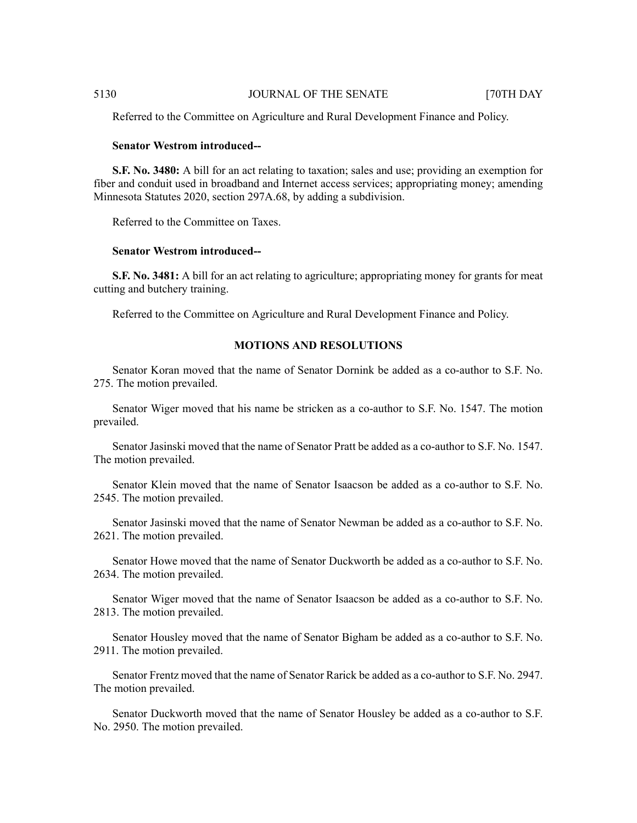Referred to the Committee on Agriculture and Rural Development Finance and Policy.

#### **Senator Westrom introduced--**

**S.F. No. 3480:** A bill for an act relating to taxation; sales and use; providing an exemption for fiber and conduit used in broadband and Internet access services; appropriating money; amending Minnesota Statutes 2020, section 297A.68, by adding a subdivision.

Referred to the Committee on Taxes.

# **Senator Westrom introduced--**

**S.F. No. 3481:** A bill for an act relating to agriculture; appropriating money for grants for meat cutting and butchery training.

Referred to the Committee on Agriculture and Rural Development Finance and Policy.

# **MOTIONS AND RESOLUTIONS**

Senator Koran moved that the name of Senator Dornink be added as a co-author to S.F. No. 275. The motion prevailed.

Senator Wiger moved that his name be stricken as a co-author to S.F. No. 1547. The motion prevailed.

Senator Jasinski moved that the name of Senator Pratt be added as a co-author to S.F. No. 1547. The motion prevailed.

Senator Klein moved that the name of Senator Isaacson be added as a co-author to S.F. No. 2545. The motion prevailed.

Senator Jasinski moved that the name of Senator Newman be added as a co-author to S.F. No. 2621. The motion prevailed.

Senator Howe moved that the name of Senator Duckworth be added as a co-author to S.F. No. 2634. The motion prevailed.

Senator Wiger moved that the name of Senator Isaacson be added as a co-author to S.F. No. 2813. The motion prevailed.

Senator Housley moved that the name of Senator Bigham be added as a co-author to S.F. No. 2911. The motion prevailed.

Senator Frentz moved that the name of Senator Rarick be added as a co-author to S.F. No. 2947. The motion prevailed.

Senator Duckworth moved that the name of Senator Housley be added as a co-author to S.F. No. 2950. The motion prevailed.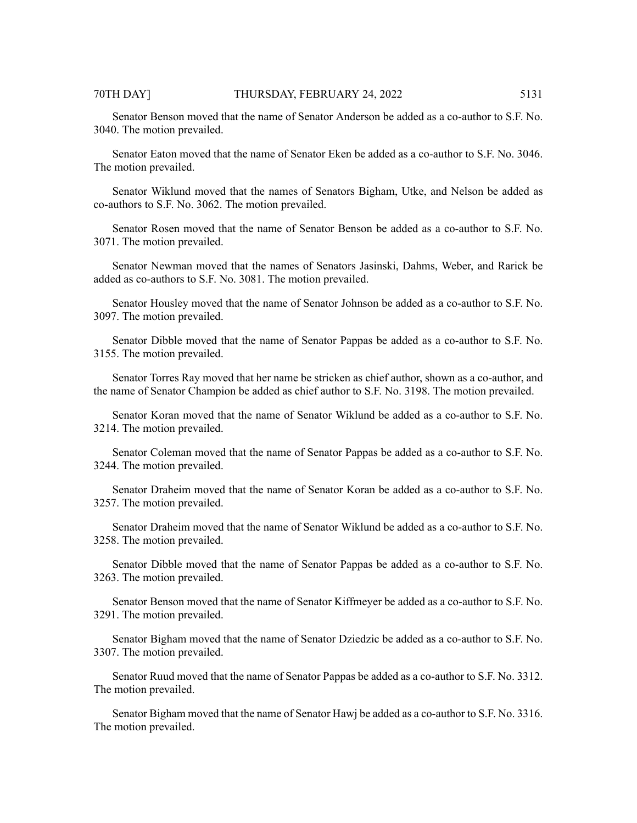Senator Benson moved that the name of Senator Anderson be added as a co-author to S.F. No. 3040. The motion prevailed.

Senator Eaton moved that the name of Senator Eken be added as a co-author to S.F. No. 3046. The motion prevailed.

Senator Wiklund moved that the names of Senators Bigham, Utke, and Nelson be added as co-authors to S.F. No. 3062. The motion prevailed.

Senator Rosen moved that the name of Senator Benson be added as a co-author to S.F. No. 3071. The motion prevailed.

Senator Newman moved that the names of Senators Jasinski, Dahms, Weber, and Rarick be added as co-authors to S.F. No. 3081. The motion prevailed.

Senator Housley moved that the name of Senator Johnson be added as a co-author to S.F. No. 3097. The motion prevailed.

Senator Dibble moved that the name of Senator Pappas be added as a co-author to S.F. No. 3155. The motion prevailed.

Senator Torres Ray moved that her name be stricken as chief author, shown as a co-author, and the name of Senator Champion be added as chief author to S.F. No. 3198. The motion prevailed.

Senator Koran moved that the name of Senator Wiklund be added as a co-author to S.F. No. 3214. The motion prevailed.

Senator Coleman moved that the name of Senator Pappas be added as a co-author to S.F. No. 3244. The motion prevailed.

Senator Draheim moved that the name of Senator Koran be added as a co-author to S.F. No. 3257. The motion prevailed.

Senator Draheim moved that the name of Senator Wiklund be added as a co-author to S.F. No. 3258. The motion prevailed.

Senator Dibble moved that the name of Senator Pappas be added as a co-author to S.F. No. 3263. The motion prevailed.

Senator Benson moved that the name of Senator Kiffmeyer be added as a co-author to S.F. No. 3291. The motion prevailed.

Senator Bigham moved that the name of Senator Dziedzic be added as a co-author to S.F. No. 3307. The motion prevailed.

Senator Ruud moved that the name of Senator Pappas be added as a co-author to S.F. No. 3312. The motion prevailed.

Senator Bigham moved that the name of Senator Hawj be added as a co-author to S.F. No. 3316. The motion prevailed.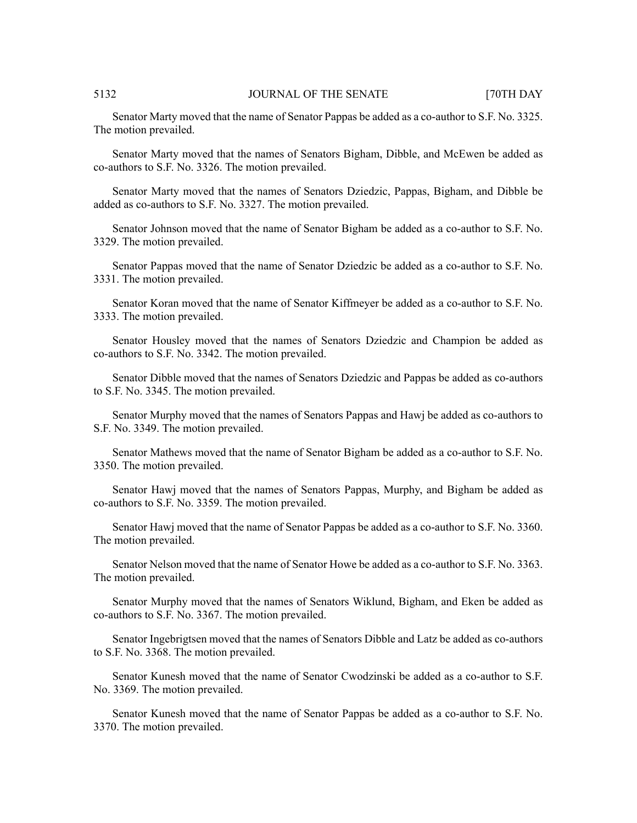Senator Marty moved that the name of Senator Pappas be added as a co-author to S.F. No. 3325. The motion prevailed.

Senator Marty moved that the names of Senators Bigham, Dibble, and McEwen be added as co-authors to S.F. No. 3326. The motion prevailed.

Senator Marty moved that the names of Senators Dziedzic, Pappas, Bigham, and Dibble be added as co-authors to S.F. No. 3327. The motion prevailed.

Senator Johnson moved that the name of Senator Bigham be added as a co-author to S.F. No. 3329. The motion prevailed.

Senator Pappas moved that the name of Senator Dziedzic be added as a co-author to S.F. No. 3331. The motion prevailed.

Senator Koran moved that the name of Senator Kiffmeyer be added as a co-author to S.F. No. 3333. The motion prevailed.

Senator Housley moved that the names of Senators Dziedzic and Champion be added as co-authors to S.F. No. 3342. The motion prevailed.

Senator Dibble moved that the names of Senators Dziedzic and Pappas be added as co-authors to S.F. No. 3345. The motion prevailed.

Senator Murphy moved that the names of Senators Pappas and Hawj be added as co-authors to S.F. No. 3349. The motion prevailed.

Senator Mathews moved that the name of Senator Bigham be added as a co-author to S.F. No. 3350. The motion prevailed.

Senator Hawj moved that the names of Senators Pappas, Murphy, and Bigham be added as co-authors to S.F. No. 3359. The motion prevailed.

Senator Hawj moved that the name of Senator Pappas be added as a co-author to S.F. No. 3360. The motion prevailed.

Senator Nelson moved that the name of Senator Howe be added as a co-author to S.F. No. 3363. The motion prevailed.

Senator Murphy moved that the names of Senators Wiklund, Bigham, and Eken be added as co-authors to S.F. No. 3367. The motion prevailed.

Senator Ingebrigtsen moved that the names of Senators Dibble and Latz be added as co-authors to S.F. No. 3368. The motion prevailed.

Senator Kunesh moved that the name of Senator Cwodzinski be added as a co-author to S.F. No. 3369. The motion prevailed.

Senator Kunesh moved that the name of Senator Pappas be added as a co-author to S.F. No. 3370. The motion prevailed.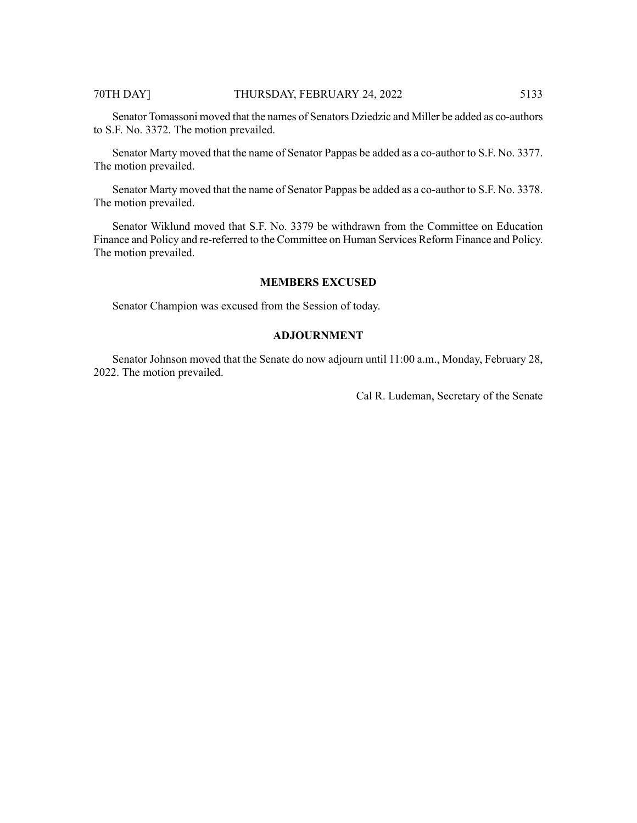# 70TH DAY] THURSDAY, FEBRUARY 24, 2022 5133

Senator Tomassoni moved that the names of Senators Dziedzic and Miller be added as co-authors to S.F. No. 3372. The motion prevailed.

Senator Marty moved that the name of Senator Pappas be added as a co-author to S.F. No. 3377. The motion prevailed.

Senator Marty moved that the name of Senator Pappas be added as a co-author to S.F. No. 3378. The motion prevailed.

Senator Wiklund moved that S.F. No. 3379 be withdrawn from the Committee on Education Finance and Policy and re-referred to the Committee on Human Services Reform Finance and Policy. The motion prevailed.

# **MEMBERS EXCUSED**

Senator Champion was excused from the Session of today.

# **ADJOURNMENT**

Senator Johnson moved that the Senate do now adjourn until 11:00 a.m., Monday, February 28, 2022. The motion prevailed.

Cal R. Ludeman, Secretary of the Senate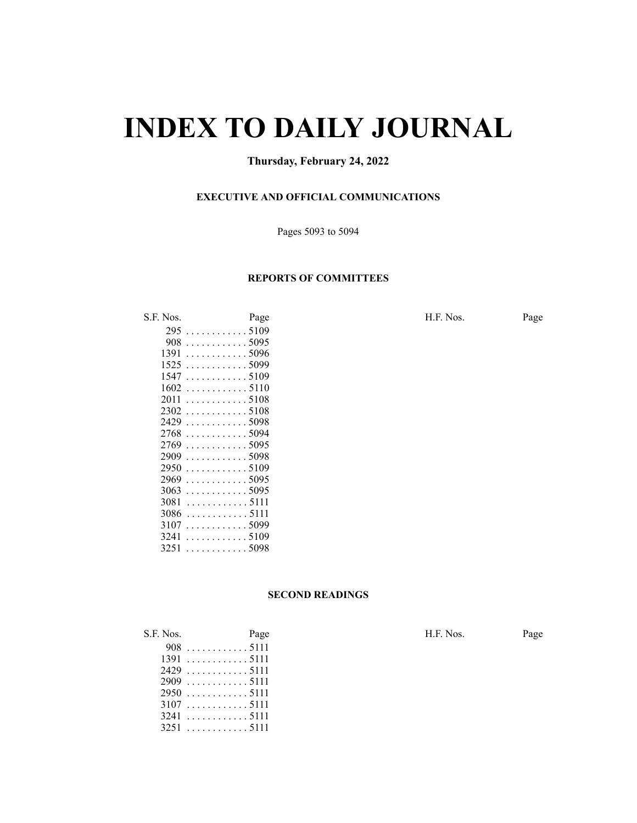# **INDEX TO DAILY JOURNAL**

# **Thursday, February 24, 2022**

# **EXECUTIVE AND OFFICIAL COMMUNICATIONS**

Pages 5093 to 5094

### **REPORTS OF COMMITTEES**

|      | ◡                       |
|------|-------------------------|
| 295  | $\ldots$ 5109           |
| 908  | . 5095<br>.             |
| 1391 | . 5096<br>a a a a an    |
| 1525 | . 5099                  |
| 1547 | $\ldots$ . 5109         |
| 1602 | . 5110                  |
| 2011 | . . 5108<br>.           |
| 2302 | .5108<br>1.1.1.1        |
| 2429 | . 5098<br>$\ldots$      |
| 2768 | . 5094                  |
| 2769 | $\ldots \ldots 5095$    |
| 2909 | $\ldots 5098$           |
| 2950 | . 5109                  |
| 2969 | . 5095                  |
| 3063 | . 5095<br>$\sim$ $\sim$ |
| 3081 | . 5111                  |
| 3086 | . 5111                  |
| 3107 | . 5099                  |
| 3241 | . . 5109                |
| 3251 | $\ldots 5098$           |
|      |                         |

S.F. Nos. Page Page Page H.F. Nos. Page

# **SECOND READINGS**

| S.F. Nos. | Page        | H.F. Nos. | Page |
|-----------|-------------|-----------|------|
|           |             |           |      |
|           | 13915111    |           |      |
|           | 24295111    |           |      |
|           |             |           |      |
|           |             |           |      |
|           | 31075111    |           |      |
|           | $3241$ 5111 |           |      |
|           | $3251$ 5111 |           |      |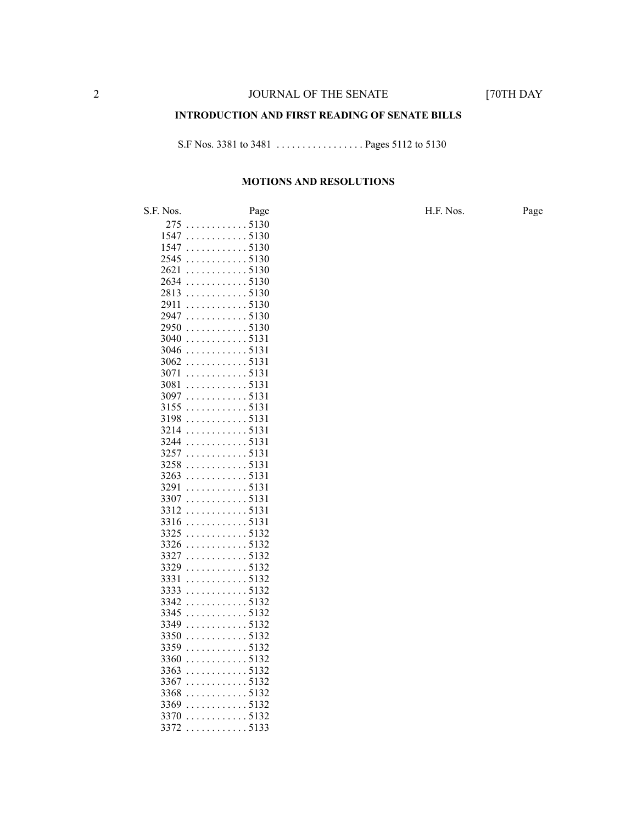### **INTRODUCTION AND FIRST READING OF SENATE BILLS**

S.F Nos. 3381 to 3481 . . . . . . . . . . . . . . . . . Pages 5112 to 5130

#### **MOTIONS AND RESOLUTIONS**

S.F. Nos. Page H.F. Nos. Page . . . . . . . . . . . . 5130 . . . . . . . . . . . . 5130 . . . . . . . . . . . . 5130 . . . . . . . . . . . . 5130 . . . . . . . . . . . . 5130 . . . . . . . . . . . . 5130 . . . . . . . . . . . . 5130 . . . . . . . . . . . . 5130 . . . . . . . . . . . . 5130 . . . . . . . . . . . . 5130 . . . . . . . . . . . . 5131 . . . . . . . . . . . . 5131 . . . . . . . . . . . . 5131 . . . . . . . . . . . . 5131 . . . . . . . . . . . . 5131 . . . . . . . . . . . . 5131 . . . . . . . . . . . . 5131 . . . . . . . . . . . . 5131 . . . . . . . . . . . . 5131 . . . . . . . . . . . . 5131 . . . . . . . . . . . . 5131 . . . . . . . . . . . . 5131 . . . . . . . . . . . . 5131 . . . . . . . . . . . . 5131 . . . . . . . . . . . . 5131 . . . . . . . . . . . . 5131 . . . . . . . . . . . . 5131 . . . . . . . . . . . . 5132 . . . . . . . . . . . . 5132 . . . . . . . . . . . . 5132 . . . . . . . . . . . . 5132 . . . . . . . . . . . . 5132 . . . . . . . . . . . . 5132 . . . . . . . . . . . . 5132 . . . . . . . . . . . . 5132 . . . . . . . . . . . . 5132 . . . . . . . . . . . . 5132 . . . . . . . . . . . . 5132 . . . . . . . . . . . . 5132 . . . . . . . . . . . . 5132 . . . . . . . . . . . . 5132 . . . . . . . . . . . . 5132 . . . . . . . . . . . . 5132 . . . . . . . . . . . . 5132 . . . . . . . . . . . . 5133